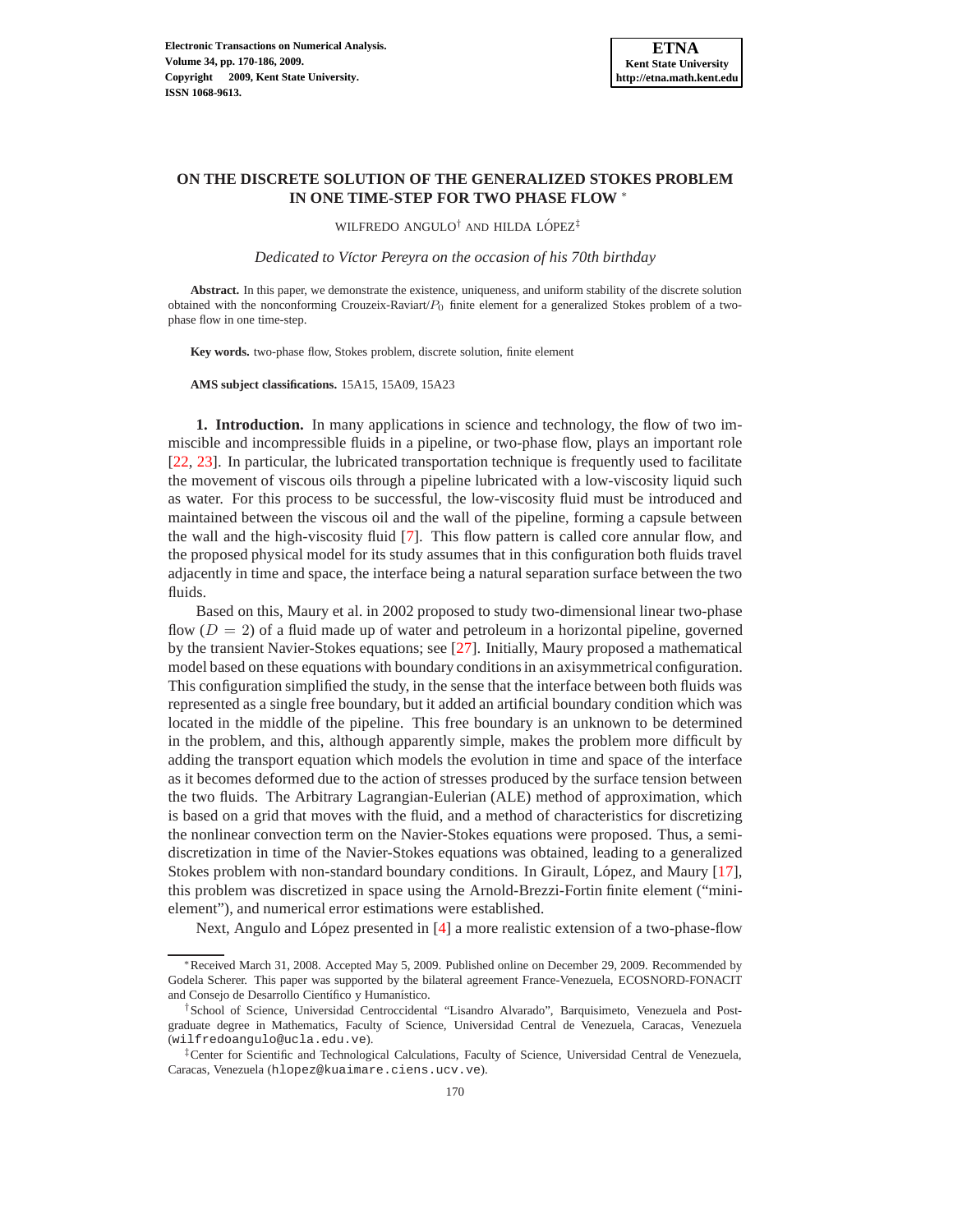# **ON THE DISCRETE SOLUTION OF THE GENERALIZED STOKES PROBLEM IN ONE TIME-STEP FOR TWO PHASE FLOW** <sup>∗</sup>

WILFREDO ANGULO<sup>†</sup> AND HILDA LÓPEZ<sup>‡</sup>

*Dedicated to V´ıctor Pereyra on the occasion of his 70th birthday*

**Abstract.** In this paper, we demonstrate the existence, uniqueness, and uniform stability of the discrete solution obtained with the nonconforming Crouzeix-Raviart/ $P_0$  finite element for a generalized Stokes problem of a twophase flow in one time-step.

**Key words.** two-phase flow, Stokes problem, discrete solution, finite element

**AMS subject classifications.** 15A15, 15A09, 15A23

**1. Introduction.** In many applications in science and technology, the flow of two immiscible and incompressible fluids in a pipeline, or two-phase flow, plays an important role [\[22](#page-15-0), [23\]](#page-16-0). In particular, the lubricated transportation technique is frequently used to facilitate the movement of viscous oils through a pipeline lubricated with a low-viscosity liquid such as water. For this process to be successful, the low-viscosity fluid must be introduced and maintained between the viscous oil and the wall of the pipeline, forming a capsule between the wall and the high-viscosity fluid [\[7](#page-15-1)]. This flow pattern is called core annular flow, and the proposed physical model for its study assumes that in this configuration both fluids travel adjacently in time and space, the interface being a natural separation surface between the two fluids.

Based on this, Maury et al. in 2002 proposed to study two-dimensional linear two-phase flow  $(D = 2)$  of a fluid made up of water and petroleum in a horizontal pipeline, governed by the transient Navier-Stokes equations; see [\[27](#page-16-1)]. Initially, Maury proposed a mathematical model based on these equations with boundary conditions in an axisymmetrical configuration. This configuration simplified the study, in the sense that the interface between both fluids was represented as a single free boundary, but it added an artificial boundary condition which was located in the middle of the pipeline. This free boundary is an unknown to be determined in the problem, and this, although apparently simple, makes the problem more difficult by adding the transport equation which models the evolution in time and space of the interface as it becomes deformed due to the action of stresses produced by the surface tension between the two fluids. The Arbitrary Lagrangian-Eulerian (ALE) method of approximation, which is based on a grid that moves with the fluid, and a method of characteristics for discretizing the nonlinear convection term on the Navier-Stokes equations were proposed. Thus, a semidiscretization in time of the Navier-Stokes equations was obtained, leading to a generalized Stokes problem with non-standard boundary conditions. In Girault, López, and Maury [\[17](#page-15-2)], this problem was discretized in space using the Arnold-Brezzi-Fortin finite element ("minielement"), and numerical error estimations were established.

Next, Angulo and López presented in  $[4]$  a more realistic extension of a two-phase-flow

<sup>∗</sup>Received March 31, 2008. Accepted May 5, 2009. Published online on December 29, 2009. Recommended by Godela Scherer. This paper was supported by the bilateral agreement France-Venezuela, ECOSNORD-FONACIT and Consejo de Desarrollo Científico y Humanístico.

<sup>†</sup>School of Science, Universidad Centroccidental "Lisandro Alvarado", Barquisimeto, Venezuela and Postgraduate degree in Mathematics, Faculty of Science, Universidad Central de Venezuela, Caracas, Venezuela (wilfredoangulo@ucla.edu.ve).

<sup>‡</sup>Center for Scientific and Technological Calculations, Faculty of Science, Universidad Central de Venezuela, Caracas, Venezuela (hlopez@kuaimare.ciens.ucv.ve).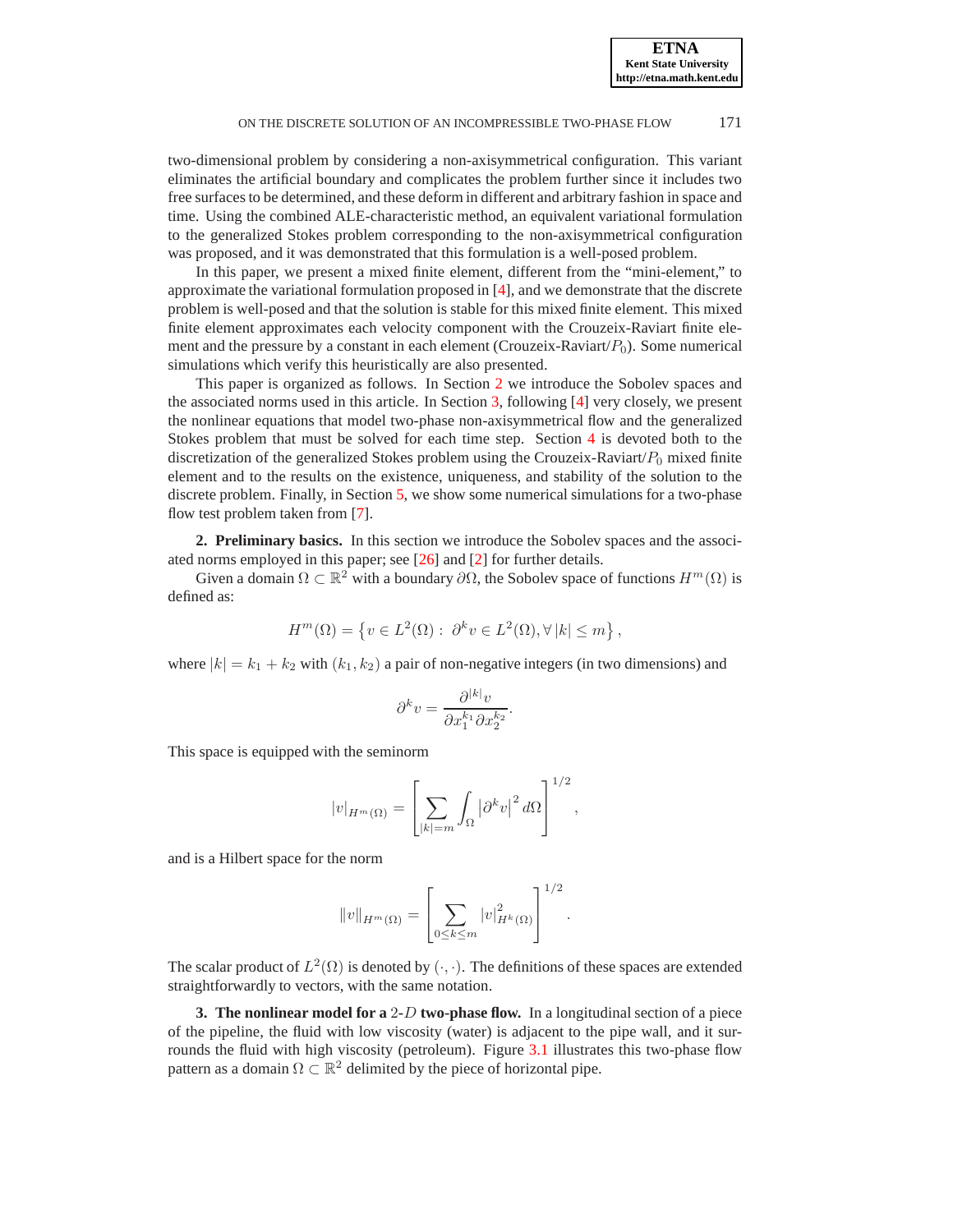two-dimensional problem by considering a non-axisymmetrical configuration. This variant eliminates the artificial boundary and complicates the problem further since it includes two free surfaces to be determined, and these deform in different and arbitrary fashion in space and time. Using the combined ALE-characteristic method, an equivalent variational formulation to the generalized Stokes problem corresponding to the non-axisymmetrical configuration was proposed, and it was demonstrated that this formulation is a well-posed problem.

In this paper, we present a mixed finite element, different from the "mini-element," to approximate the variational formulation proposed in [\[4\]](#page-15-3), and we demonstrate that the discrete problem is well-posed and that the solution is stable for this mixed finite element. This mixed finite element approximates each velocity component with the Crouzeix-Raviart finite element and the pressure by a constant in each element (Crouzeix-Raviart/ $P_0$ ). Some numerical simulations which verify this heuristically are also presented.

This paper is organized as follows. In Section [2](#page-1-0) we introduce the Sobolev spaces and the associated norms used in this article. In Section [3,](#page-1-1) following [\[4](#page-15-3)] very closely, we present the nonlinear equations that model two-phase non-axisymmetrical flow and the generalized Stokes problem that must be solved for each time step. Section [4](#page-6-0) is devoted both to the discretization of the generalized Stokes problem using the Crouzeix-Raviart/ $P_0$  mixed finite element and to the results on the existence, uniqueness, and stability of the solution to the discrete problem. Finally, in Section [5,](#page-14-0) we show some numerical simulations for a two-phase flow test problem taken from [\[7](#page-15-1)].

<span id="page-1-0"></span>**2. Preliminary basics.** In this section we introduce the Sobolev spaces and the associated norms employed in this paper; see [\[26](#page-16-2)] and [\[2](#page-15-4)] for further details.

Given a domain  $\Omega \subset \mathbb{R}^2$  with a boundary  $\partial \Omega$ , the Sobolev space of functions  $H^m(\Omega)$  is defined as:

$$
H^m(\Omega) = \left\{ v \in L^2(\Omega) : \ \partial^k v \in L^2(\Omega), \forall \, |k| \le m \right\},\
$$

where  $|k| = k_1 + k_2$  with  $(k_1, k_2)$  a pair of non-negative integers (in two dimensions) and

$$
\partial^k v = \frac{\partial^{|k|} v}{\partial x_1^{k_1} \partial x_2^{k_2}}.
$$

This space is equipped with the seminorm

$$
|v|_{H^m(\Omega)} = \left[ \sum_{|k|=m} \int_{\Omega} |\partial^k v|^2 d\Omega \right]^{1/2},
$$

and is a Hilbert space for the norm

$$
||v||_{H^m(\Omega)} = \left[ \sum_{0 \le k \le m} |v|_{H^k(\Omega)}^2 \right]^{1/2}.
$$

The scalar product of  $L^2(\Omega)$  is denoted by  $(\cdot, \cdot)$ . The definitions of these spaces are extended straightforwardly to vectors, with the same notation.

<span id="page-1-1"></span>**3. The nonlinear model for a** 2-D **two-phase flow.** In a longitudinal section of a piece of the pipeline, the fluid with low viscosity (water) is adjacent to the pipe wall, and it sur-rounds the fluid with high viscosity (petroleum). Figure [3.1](#page-2-0) illustrates this two-phase flow pattern as a domain  $\Omega \subset \mathbb{R}^2$  delimited by the piece of horizontal pipe.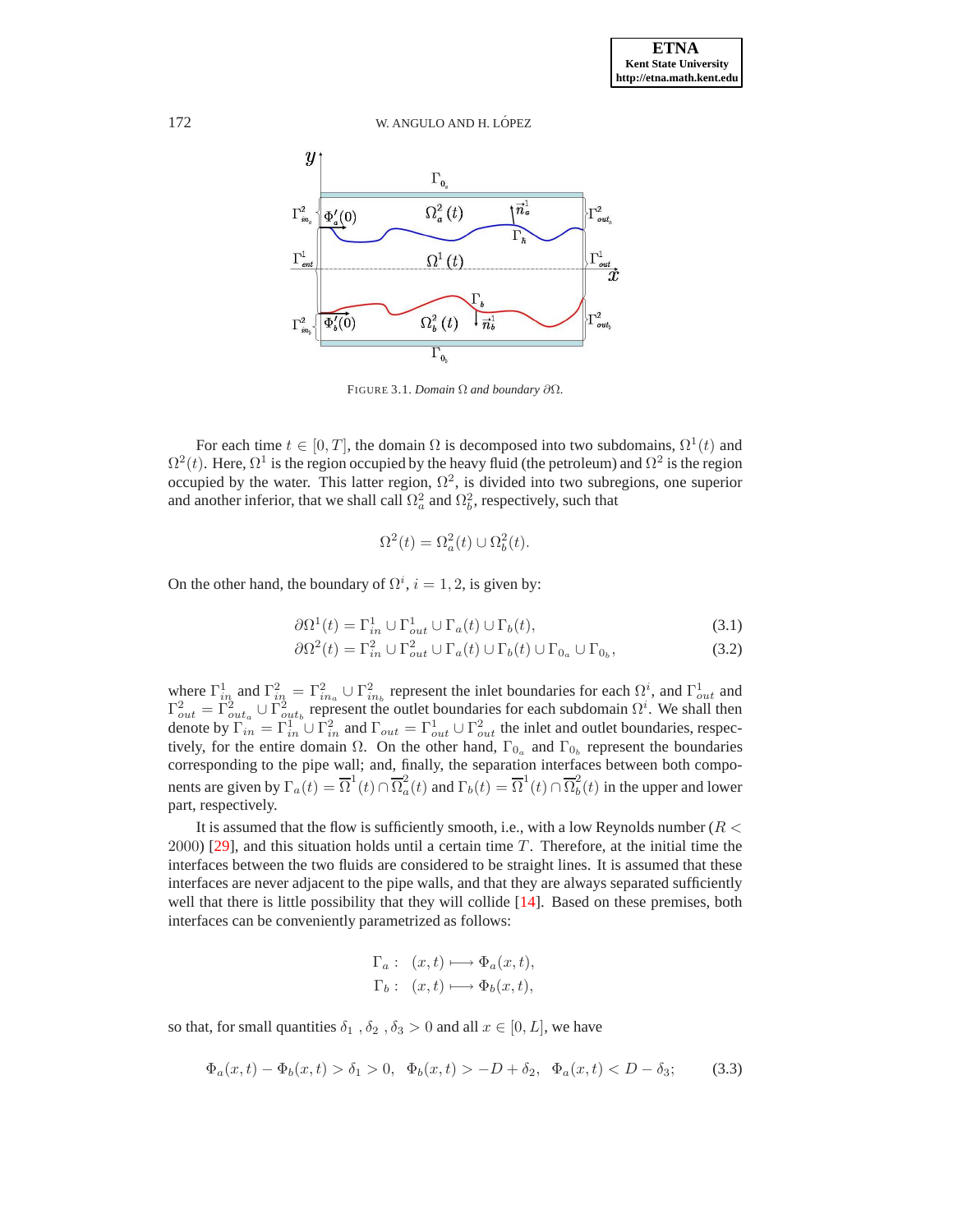

<span id="page-2-0"></span>FIGURE 3.1. *Domain* Ω *and boundary* ∂Ω*.*

For each time  $t \in [0, T]$ , the domain  $\Omega$  is decomposed into two subdomains,  $\Omega^1(t)$  and  $\Omega^2(t)$ . Here,  $\Omega^1$  is the region occupied by the heavy fluid (the petroleum) and  $\Omega^2$  is the region occupied by the water. This latter region,  $\Omega^2$ , is divided into two subregions, one superior and another inferior, that we shall call  $\Omega_a^2$  and  $\Omega_b^2$ , respectively, such that

$$
\Omega^2(t) = \Omega_a^2(t) \cup \Omega_b^2(t).
$$

On the other hand, the boundary of  $\Omega^i$ ,  $i = 1, 2$ , is given by:

$$
\partial \Omega^1(t) = \Gamma_{in}^1 \cup \Gamma_{out}^1 \cup \Gamma_a(t) \cup \Gamma_b(t), \tag{3.1}
$$

$$
\partial \Omega^2(t) = \Gamma_{in}^2 \cup \Gamma_{out}^2 \cup \Gamma_a(t) \cup \Gamma_b(t) \cup \Gamma_{0_a} \cup \Gamma_{0_b},\tag{3.2}
$$

where  $\Gamma_{in}^1$  and  $\Gamma_{in}^2 = \Gamma_{in}^2 \cup \Gamma_{in}^2$  represent the inlet boundaries for each  $\Omega^i$ , and  $\Gamma_{out}^1$  and  $\Gamma_{out}^2 = \Gamma_{out_a}^2 \cup \Gamma_{out_b}^2$  represent the outlet boundaries for each subdomain  $\Omega^i$ . We shall then denote by  $\overline{\Gamma}_{in}^1 = \Gamma_{in}^1 \cup \Gamma_{in}^2$  and  $\Gamma_{out} = \Gamma_{out}^1 \cup \Gamma_{out}^2$  the inlet and outlet boundaries, respectively, for the entire domain  $\Omega$ . On the other hand,  $\Gamma_{0_a}$  and  $\Gamma_{0_b}$  represent the boundaries corresponding to the pipe wall; and, finally, the separation interfaces between both components are given by  $\Gamma_a(t) = \overline{\Omega}^1(t) \cap \overline{\Omega}_a^2$  $\frac{a}{a}(t)$  and  $\Gamma_b(t) = \overline{\Omega}^1(t) \cap \overline{\Omega}^2_b$  $\int_b^2(t)$  in the upper and lower part, respectively.

It is assumed that the flow is sufficiently smooth, i.e., with a low Reynolds number ( $R <$  $2000$  [\[29\]](#page-16-3), and this situation holds until a certain time T. Therefore, at the initial time the interfaces between the two fluids are considered to be straight lines. It is assumed that these interfaces are never adjacent to the pipe walls, and that they are always separated sufficiently well that there is little possibility that they will collide [\[14](#page-15-5)]. Based on these premises, both interfaces can be conveniently parametrized as follows:

$$
\Gamma_a: (x,t) \longmapsto \Phi_a(x,t),
$$
  

$$
\Gamma_b: (x,t) \longmapsto \Phi_b(x,t),
$$

so that, for small quantities  $\delta_1$ ,  $\delta_2$ ,  $\delta_3 > 0$  and all  $x \in [0, L]$ , we have

$$
\Phi_a(x,t) - \Phi_b(x,t) > \delta_1 > 0, \ \Phi_b(x,t) > -D + \delta_2, \ \Phi_a(x,t) < D - \delta_3; \tag{3.3}
$$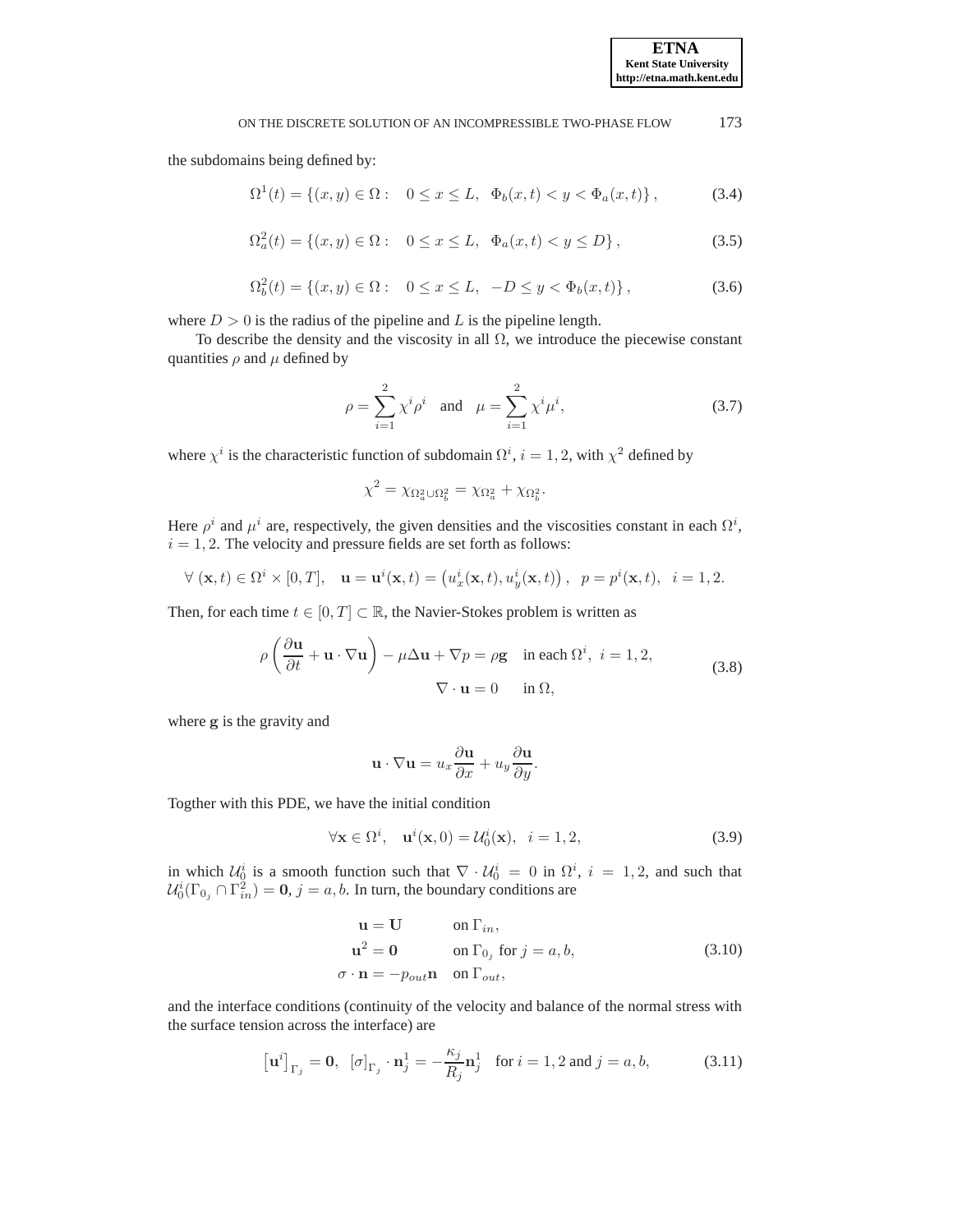the subdomains being defined by:

$$
\Omega^{1}(t) = \{(x, y) \in \Omega : \quad 0 \le x \le L, \ \ \Phi_{b}(x, t) < y < \Phi_{a}(x, t)\},\tag{3.4}
$$

$$
\Omega_a^2(t) = \{(x, y) \in \Omega : \quad 0 \le x \le L, \ \ \Phi_a(x, t) < y \le D\},\tag{3.5}
$$

$$
\Omega_b^2(t) = \{(x, y) \in \Omega : \quad 0 \le x \le L, \ \ -D \le y < \Phi_b(x, t)\},\tag{3.6}
$$

where  $D > 0$  is the radius of the pipeline and L is the pipeline length.

To describe the density and the viscosity in all  $\Omega$ , we introduce the piecewise constant quantities  $\rho$  and  $\mu$  defined by

$$
\rho = \sum_{i=1}^{2} \chi^{i} \rho^{i} \text{ and } \mu = \sum_{i=1}^{2} \chi^{i} \mu^{i},
$$
\n(3.7)

where  $\chi^i$  is the characteristic function of subdomain  $\Omega^i$ ,  $i = 1, 2$ , with  $\chi^2$  defined by

$$
\chi^2 = \chi_{\Omega_a^2 \cup \Omega_b^2} = \chi_{\Omega_a^2} + \chi_{\Omega_b^2}.
$$

Here  $\rho^i$  and  $\mu^i$  are, respectively, the given densities and the viscosities constant in each  $\Omega^i$ ,  $i = 1, 2$ . The velocity and pressure fields are set forth as follows:

$$
\forall (\mathbf{x},t) \in \Omega^i \times [0,T], \quad \mathbf{u} = \mathbf{u}^i(\mathbf{x},t) = (u^i_x(\mathbf{x},t), u^i_y(\mathbf{x},t)), \quad p = p^i(\mathbf{x},t), \quad i = 1,2.
$$

Then, for each time  $t \in [0, T] \subset \mathbb{R}$ , the Navier-Stokes problem is written as

<span id="page-3-1"></span>
$$
\rho \left( \frac{\partial \mathbf{u}}{\partial t} + \mathbf{u} \cdot \nabla \mathbf{u} \right) - \mu \Delta \mathbf{u} + \nabla p = \rho \mathbf{g} \quad \text{in each } \Omega^i, \ i = 1, 2,
$$
\n
$$
\nabla \cdot \mathbf{u} = 0 \quad \text{in } \Omega,
$$
\n(3.8)

where g is the gravity and

$$
\mathbf{u} \cdot \nabla \mathbf{u} = u_x \frac{\partial \mathbf{u}}{\partial x} + u_y \frac{\partial \mathbf{u}}{\partial y}.
$$

Togther with this PDE, we have the initial condition

$$
\forall \mathbf{x} \in \Omega^i, \quad \mathbf{u}^i(\mathbf{x},0) = \mathcal{U}_0^i(\mathbf{x}), \quad i = 1,2,
$$
\n(3.9)

in which  $\mathcal{U}_0^i$  is a smooth function such that  $\nabla \cdot \mathcal{U}_0^i = 0$  in  $\Omega^i$ ,  $i = 1, 2$ , and such that  $\mathcal{U}_0^i(\Gamma_{0_j} \cap \Gamma_{in}^2) = \mathbf{0}, j = a, b$ . In turn, the boundary conditions are

<span id="page-3-0"></span>
$$
\mathbf{u} = \mathbf{U} \qquad \text{on } \Gamma_{in},
$$
  
\n
$$
\mathbf{u}^2 = \mathbf{0} \qquad \text{on } \Gamma_{0j} \text{ for } j = a, b,
$$
  
\n
$$
\sigma \cdot \mathbf{n} = -p_{out} \mathbf{n} \quad \text{on } \Gamma_{out},
$$
\n(3.10)

and the interface conditions (continuity of the velocity and balance of the normal stress with the surface tension across the interface) are

<span id="page-3-2"></span>
$$
\left[\mathbf{u}^i\right]_{\Gamma_j} = \mathbf{0}, \quad [\sigma]_{\Gamma_j} \cdot \mathbf{n}_j^1 = -\frac{\kappa_j}{R_j} \mathbf{n}_j^1 \quad \text{for } i = 1, 2 \text{ and } j = a, b,
$$
 (3.11)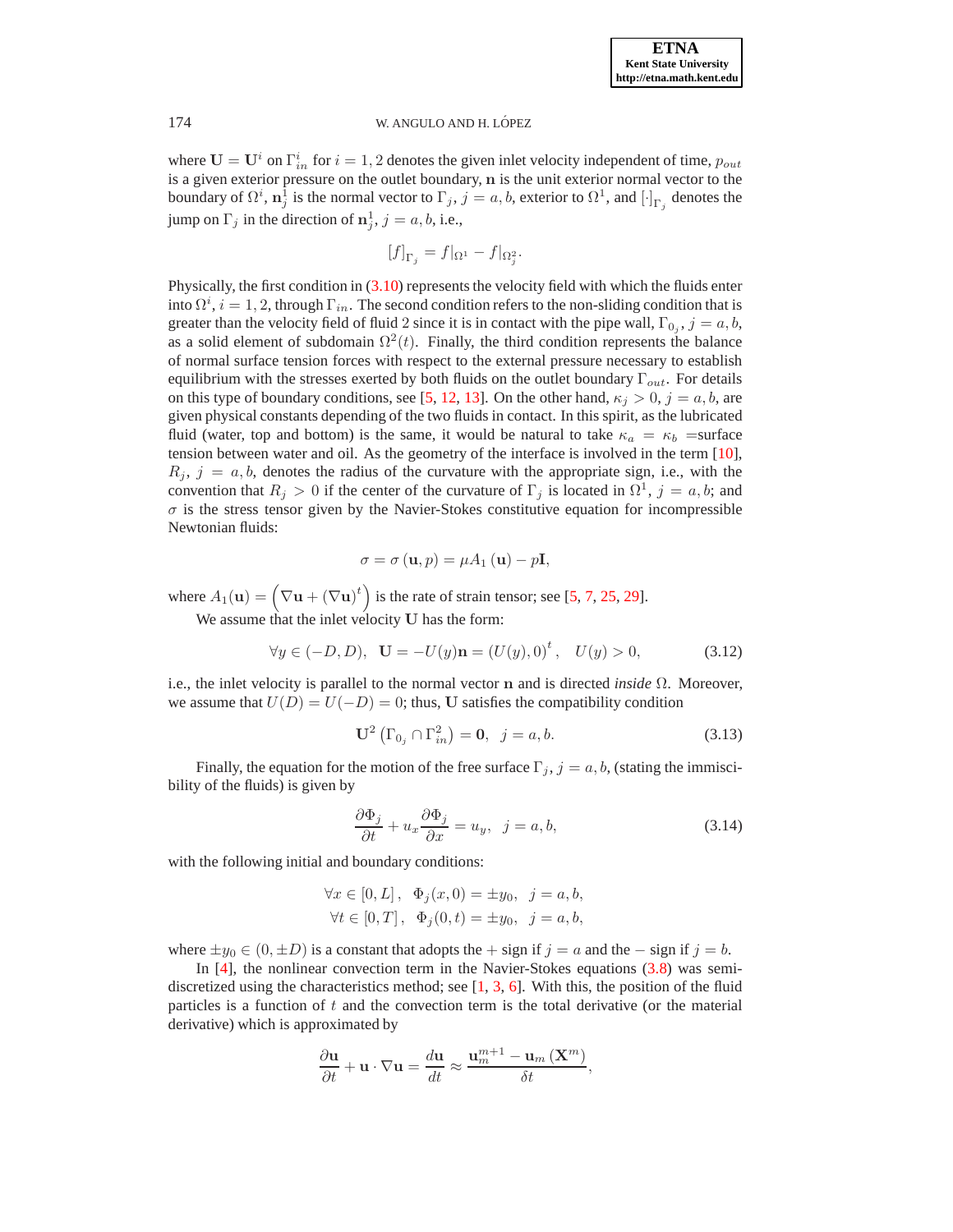where  $\mathbf{U} = \mathbf{U}^i$  on  $\Gamma_{in}^i$  for  $i = 1, 2$  denotes the given inlet velocity independent of time,  $p_{out}$ is a given exterior pressure on the outlet boundary, n is the unit exterior normal vector to the boundary of  $\Omega^i$ ,  $\mathbf{n}_j^1$  is the normal vector to  $\Gamma_j$ ,  $j = a, b$ , exterior to  $\Omega^1$ , and  $[\cdot]_{\Gamma_j}$  denotes the jump on  $\Gamma_j$  in the direction of  $\mathbf{n}_j^1$ ,  $j = a, b$ , i.e.,

$$
[f]_{\Gamma_j} = f|_{\Omega^1} - f|_{\Omega_j^2}.
$$

Physically, the first condition in [\(3.10\)](#page-3-0) represents the velocity field with which the fluids enter into  $\Omega^i$ ,  $i = 1, 2$ , through  $\Gamma_{in}$ . The second condition refers to the non-sliding condition that is greater than the velocity field of fluid 2 since it is in contact with the pipe wall,  $\Gamma_{0_j}$ ,  $j = a, b$ , as a solid element of subdomain  $\Omega^2(t)$ . Finally, the third condition represents the balance of normal surface tension forces with respect to the external pressure necessary to establish equilibrium with the stresses exerted by both fluids on the outlet boundary  $\Gamma_{out}$ . For details on this type of boundary conditions, see [\[5](#page-15-6), [12](#page-15-7), [13](#page-15-8)]. On the other hand,  $\kappa_j > 0$ ,  $j = a, b$ , are given physical constants depending of the two fluids in contact. In this spirit, as the lubricated fluid (water, top and bottom) is the same, it would be natural to take  $\kappa_a = \kappa_b$  =surface tension between water and oil. As the geometry of the interface is involved in the term [\[10](#page-15-9)],  $R_i$ ,  $j = a, b$ , denotes the radius of the curvature with the appropriate sign, i.e., with the convention that  $R_j > 0$  if the center of the curvature of  $\Gamma_j$  is located in  $\Omega^1$ ,  $j = a, b$ ; and  $\sigma$  is the stress tensor given by the Navier-Stokes constitutive equation for incompressible Newtonian fluids:

$$
\sigma = \sigma(\mathbf{u}, p) = \mu A_1(\mathbf{u}) - p\mathbf{I},
$$

where  $A_1(\mathbf{u}) = (\nabla \mathbf{u} + (\nabla \mathbf{u})^t)$  is the rate of strain tensor; see [\[5](#page-15-6), [7](#page-15-1), [25](#page-16-4), [29\]](#page-16-3).

We assume that the inlet velocity U has the form:

$$
\forall y \in (-D, D), \quad \mathbf{U} = -U(y)\mathbf{n} = (U(y), 0)^t, \quad U(y) > 0,
$$
\n(3.12)

i.e., the inlet velocity is parallel to the normal vector n and is directed *inside* Ω. Moreover, we assume that  $U(D) = U(-D) = 0$ ; thus, U satisfies the compatibility condition

$$
\mathbf{U}^2 \left( \Gamma_{0_j} \cap \Gamma_{in}^2 \right) = \mathbf{0}, \ \ j = a, b. \tag{3.13}
$$

Finally, the equation for the motion of the free surface  $\Gamma_j$ ,  $j = a, b$ , (stating the immiscibility of the fluids) is given by

$$
\frac{\partial \Phi_j}{\partial t} + u_x \frac{\partial \Phi_j}{\partial x} = u_y, \ \ j = a, b,
$$
\n(3.14)

with the following initial and boundary conditions:

$$
\forall x \in [0, L], \ \Phi_j(x, 0) = \pm y_0, \ j = a, b,
$$
  

$$
\forall t \in [0, T], \ \Phi_j(0, t) = \pm y_0, \ j = a, b,
$$

where  $\pm y_0 \in (0, \pm D)$  is a constant that adopts the + sign if  $j = a$  and the – sign if  $j = b$ .

In  $[4]$ , the nonlinear convection term in the Navier-Stokes equations  $(3.8)$  was semidiscretized using the characteristics method; see  $\begin{bmatrix} 1, 3, 6 \end{bmatrix}$  $\begin{bmatrix} 1, 3, 6 \end{bmatrix}$  $\begin{bmatrix} 1, 3, 6 \end{bmatrix}$  $\begin{bmatrix} 1, 3, 6 \end{bmatrix}$  $\begin{bmatrix} 1, 3, 6 \end{bmatrix}$ . With this, the position of the fluid particles is a function of t and the convection term is the total derivative (or the material derivative) which is approximated by

$$
\frac{\partial \mathbf{u}}{\partial t} + \mathbf{u} \cdot \nabla \mathbf{u} = \frac{d \mathbf{u}}{dt} \approx \frac{\mathbf{u}_{m}^{m+1} - \mathbf{u}_{m} \left( \mathbf{X}^{m} \right)}{\delta t},
$$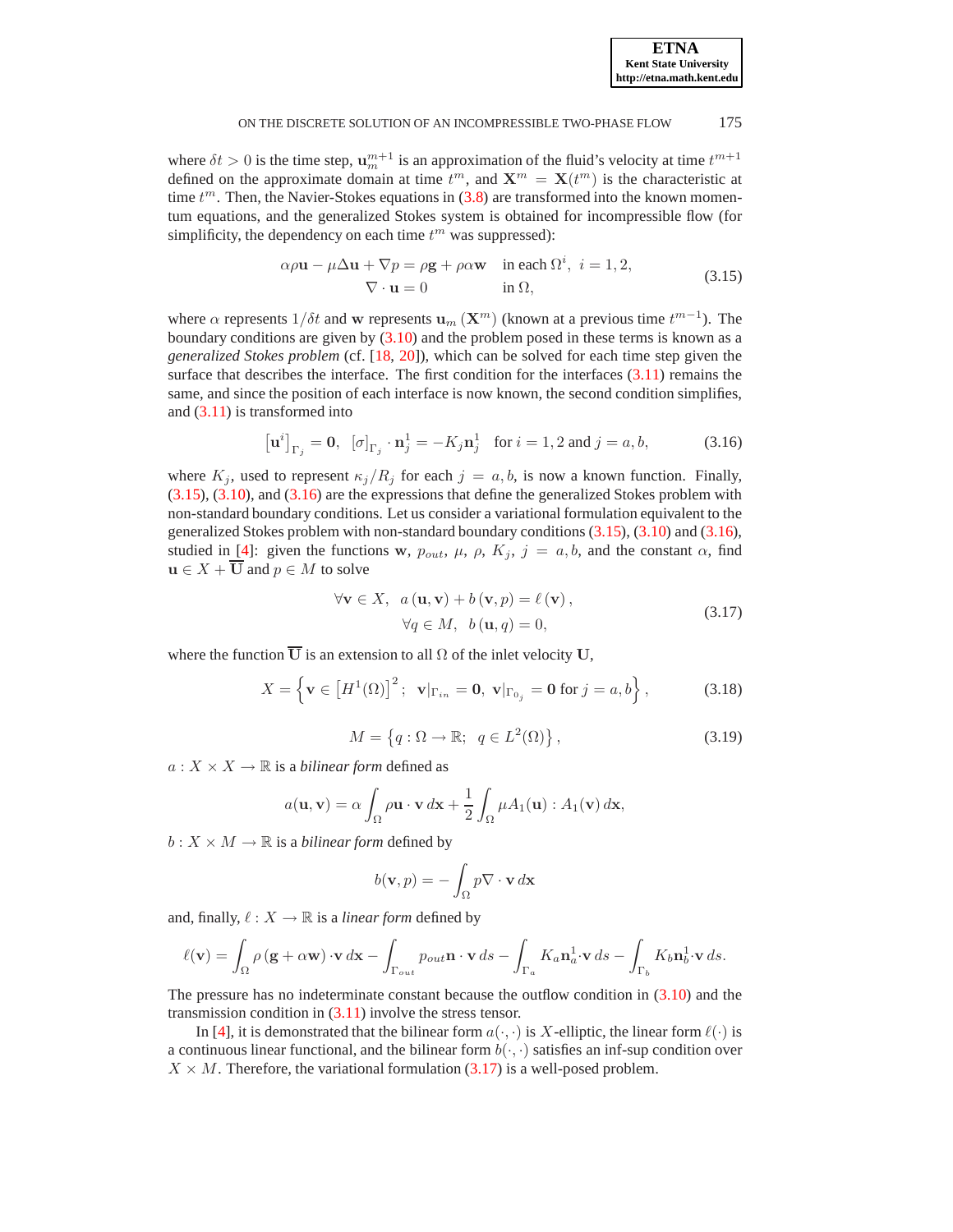where  $\delta t > 0$  is the time step,  $\mathbf{u}_m^{m+1}$  is an approximation of the fluid's velocity at time  $t^{m+1}$ defined on the approximate domain at time  $t^m$ , and  $\mathbf{X}^m = \mathbf{X}(t^m)$  is the characteristic at time  $t^m$ . Then, the Navier-Stokes equations in  $(3.8)$  are transformed into the known momentum equations, and the generalized Stokes system is obtained for incompressible flow (for simplificity, the dependency on each time  $t^m$  was suppressed):

<span id="page-5-0"></span>
$$
\alpha \rho \mathbf{u} - \mu \Delta \mathbf{u} + \nabla p = \rho \mathbf{g} + \rho \alpha \mathbf{w} \quad \text{in each } \Omega^i, \ i = 1, 2,
$$
  

$$
\nabla \cdot \mathbf{u} = 0 \qquad \text{in } \Omega,
$$
 (3.15)

where  $\alpha$  represents  $1/\delta t$  and w represents  $\mathbf{u}_m(\mathbf{X}^m)$  (known at a previous time  $t^{m-1}$ ). The boundary conditions are given by [\(3.10\)](#page-3-0) and the problem posed in these terms is known as a *generalized Stokes problem* (cf. [\[18](#page-15-13), [20\]](#page-15-14)), which can be solved for each time step given the surface that describes the interface. The first condition for the interfaces  $(3.11)$  remains the same, and since the position of each interface is now known, the second condition simplifies, and [\(3.11\)](#page-3-2) is transformed into

<span id="page-5-1"></span>
$$
[\mathbf{u}^{i}]_{\Gamma_{j}} = \mathbf{0}, \ [\sigma]_{\Gamma_{j}} \cdot \mathbf{n}_{j}^{1} = -K_{j} \mathbf{n}_{j}^{1} \text{ for } i = 1, 2 \text{ and } j = a, b,
$$
 (3.16)

where  $K_j$ , used to represent  $\kappa_j/R_j$  for each  $j = a, b$ , is now a known function. Finally, [\(3.15\)](#page-5-0), [\(3.10\)](#page-3-0), and [\(3.16\)](#page-5-1) are the expressions that define the generalized Stokes problem with non-standard boundary conditions. Let us consider a variational formulation equivalent to the generalized Stokes problem with non-standard boundary conditions [\(3.15\)](#page-5-0), [\(3.10\)](#page-3-0) and [\(3.16\)](#page-5-1), studied in [\[4\]](#page-15-3): given the functions w,  $p_{out}$ ,  $\mu$ ,  $\rho$ ,  $K_j$ ,  $j = a, b$ , and the constant  $\alpha$ , find  $u \in X + \overline{U}$  and  $p \in M$  to solve

<span id="page-5-2"></span>
$$
\forall \mathbf{v} \in X, \ a(\mathbf{u}, \mathbf{v}) + b(\mathbf{v}, p) = \ell(\mathbf{v}),
$$
  
\n
$$
\forall q \in M, \ b(\mathbf{u}, q) = 0,
$$
\n(3.17)

where the function  $\overline{U}$  is an extension to all  $\Omega$  of the inlet velocity U,

$$
X = \left\{ \mathbf{v} \in \left[ H^1(\Omega) \right]^2; \ \mathbf{v} |_{\Gamma_{in}} = \mathbf{0}, \ \mathbf{v} |_{\Gamma_{0_j}} = \mathbf{0} \text{ for } j = a, b \right\},\tag{3.18}
$$

$$
M = \left\{ q : \Omega \to \mathbb{R}; \ q \in L^2(\Omega) \right\},\tag{3.19}
$$

 $a: X \times X \rightarrow \mathbb{R}$  is a *bilinear form* defined as

$$
a(\mathbf{u}, \mathbf{v}) = \alpha \int_{\Omega} \rho \mathbf{u} \cdot \mathbf{v} \, d\mathbf{x} + \frac{1}{2} \int_{\Omega} \mu A_1(\mathbf{u}) : A_1(\mathbf{v}) \, d\mathbf{x},
$$

 $b: X \times M \to \mathbb{R}$  is a *bilinear form* defined by

$$
b(\mathbf{v},p)=-\int_{\Omega}p\nabla\cdot\mathbf{v}\,d\mathbf{x}
$$

and, finally,  $\ell : X \to \mathbb{R}$  is a *linear form* defined by

$$
\ell(\mathbf{v}) = \int_{\Omega} \rho(\mathbf{g} + \alpha \mathbf{w}) \cdot \mathbf{v} \, d\mathbf{x} - \int_{\Gamma_{out}} p_{out} \mathbf{n} \cdot \mathbf{v} \, ds - \int_{\Gamma_a} K_a \mathbf{n}_a^1 \cdot \mathbf{v} \, ds - \int_{\Gamma_b} K_b \mathbf{n}_b^1 \cdot \mathbf{v} \, ds.
$$

The pressure has no indeterminate constant because the outflow condition in [\(3.10\)](#page-3-0) and the transmission condition in  $(3.11)$  involve the stress tensor.

In [\[4\]](#page-15-3), it is demonstrated that the bilinear form  $a(\cdot, \cdot)$  is X-elliptic, the linear form  $\ell(\cdot)$  is a continuous linear functional, and the bilinear form  $b(\cdot, \cdot)$  satisfies an inf-sup condition over  $X \times M$ . Therefore, the variational formulation [\(3.17\)](#page-5-2) is a well-posed problem.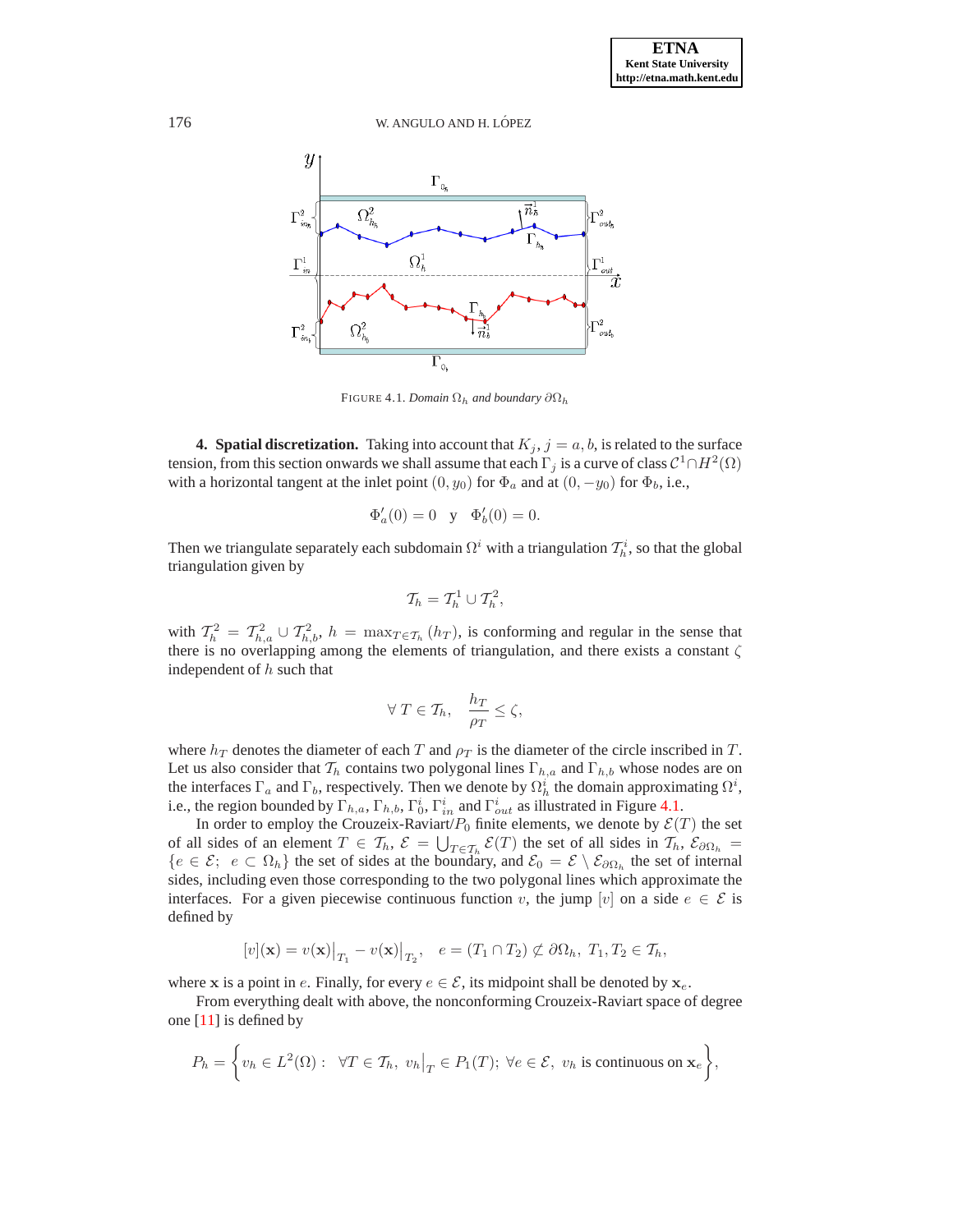

<span id="page-6-1"></span>FIGURE 4.1. *Domain*  $\Omega_h$  *and boundary*  $\partial \Omega_h$ 

<span id="page-6-0"></span>**4. Spatial discretization.** Taking into account that  $K_j$ ,  $j = a, b$ , is related to the surface tension, from this section onwards we shall assume that each  $\Gamma_j$  is a curve of class  $\mathcal{C}^1\cap H^2(\Omega)$ with a horizontal tangent at the inlet point  $(0, y_0)$  for  $\Phi_a$  and at  $(0, -y_0)$  for  $\Phi_b$ , i.e.,

$$
\Phi'_a(0) = 0
$$
 y  $\Phi'_b(0) = 0$ .

Then we triangulate separately each subdomain  $\Omega^i$  with a triangulation  $\mathcal{T}_h^i$ , so that the global triangulation given by

$$
\mathcal{T}_h = \mathcal{T}_h^1 \cup \mathcal{T}_h^2,
$$

with  $T_h^2 = T_{h,a}^2 \cup T_{h,b}^2$ ,  $h = \max_{T \in \mathcal{T}_h} (h_T)$ , is conforming and regular in the sense that there is no overlapping among the elements of triangulation, and there exists a constant  $\zeta$ independent of  $h$  such that

$$
\forall T \in \mathcal{T}_h, \quad \frac{h_T}{\rho_T} \le \zeta,
$$

where  $h_T$  denotes the diameter of each T and  $\rho_T$  is the diameter of the circle inscribed in T. Let us also consider that  $\mathcal{T}_h$  contains two polygonal lines  $\Gamma_{h,a}$  and  $\Gamma_{h,b}$  whose nodes are on the interfaces  $\Gamma_a$  and  $\Gamma_b$ , respectively. Then we denote by  $\Omega_h^i$  the domain approximating  $\Omega^i$ , i.e., the region bounded by  $\Gamma_{h,a}$ ,  $\Gamma_{h,b}$ ,  $\Gamma_{0}^{i}$ ,  $\Gamma_{in}^{i}$  and  $\Gamma_{out}^{i}$  as illustrated in Figure [4.1.](#page-6-1)

In order to employ the Crouzeix-Raviart/ $P_0$  finite elements, we denote by  $\mathcal{E}(T)$  the set of all sides of an element  $T \in \mathcal{T}_h$ ,  $\mathcal{E} = \bigcup_{T \in \mathcal{T}_h} \mathcal{E}(T)$  the set of all sides in  $\mathcal{T}_h$ ,  $\mathcal{E}_{\partial \Omega_h}$  ${e \in \mathcal{E}}; e \subset \Omega_h$  the set of sides at the boundary, and  $\mathcal{E}_0 = \mathcal{E} \setminus \mathcal{E}_{\partial \Omega_h}$  the set of internal sides, including even those corresponding to the two polygonal lines which approximate the interfaces. For a given piecewise continuous function v, the jump [v] on a side  $e \in \mathcal{E}$  is defined by

$$
[v](\mathbf{x}) = v(\mathbf{x})\big|_{T_1} - v(\mathbf{x})\big|_{T_2}, \quad e = (T_1 \cap T_2) \not\subset \partial\Omega_h, T_1, T_2 \in \mathcal{T}_h,
$$

where x is a point in e. Finally, for every  $e \in \mathcal{E}$ , its midpoint shall be denoted by  $x_e$ .

From everything dealt with above, the nonconforming Crouzeix-Raviart space of degree one [\[11](#page-15-15)] is defined by

$$
P_h = \left\{ v_h \in L^2(\Omega) : \forall T \in \mathcal{T}_h, v_h \big|_T \in P_1(T); \forall e \in \mathcal{E}, v_h \text{ is continuous on } \mathbf{x}_e \right\},\
$$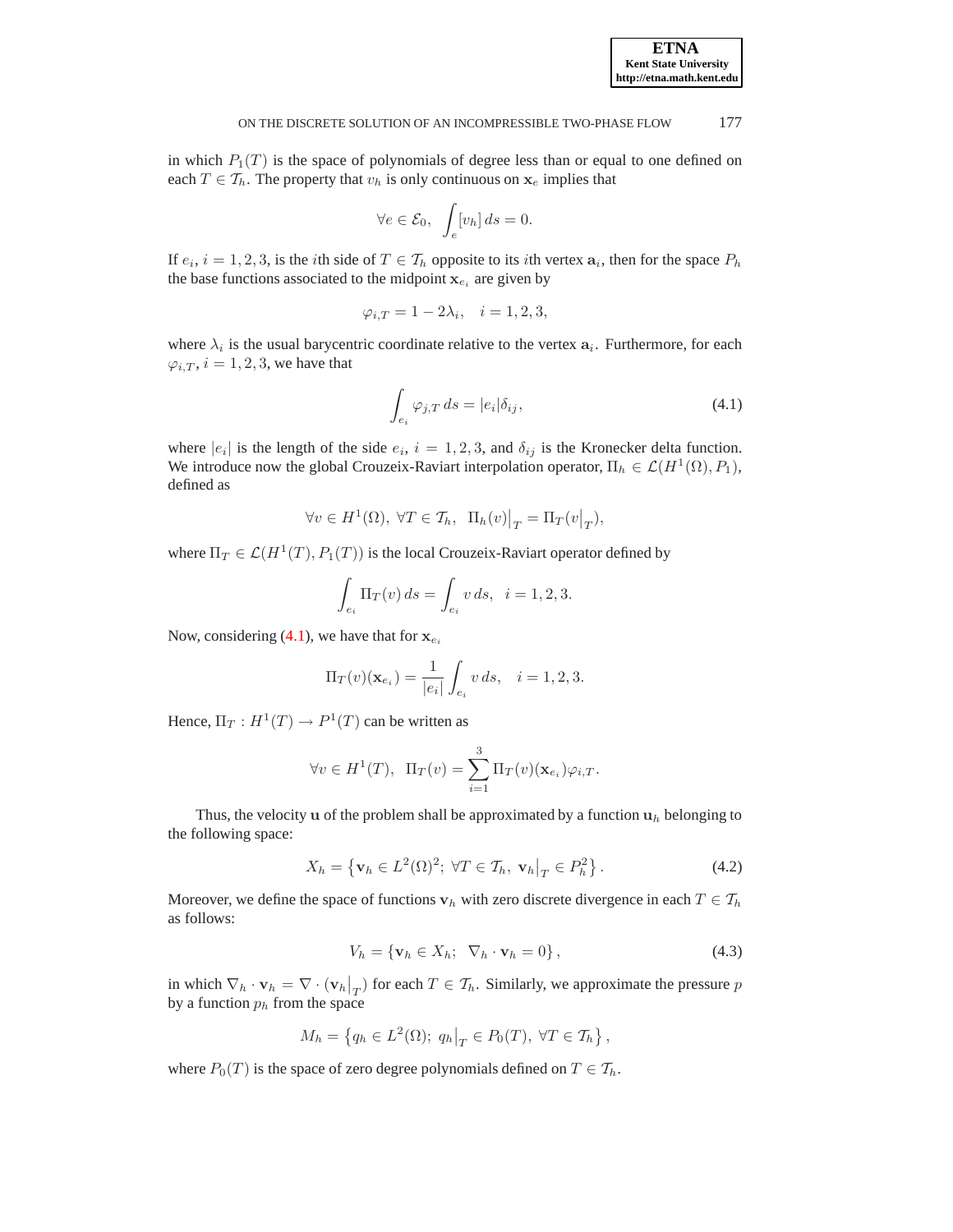in which  $P_1(T)$  is the space of polynomials of degree less than or equal to one defined on each  $T \in \mathcal{T}_h$ . The property that  $v_h$  is only continuous on  $\mathbf{x}_e$  implies that

$$
\forall e \in \mathcal{E}_0, \quad \int_e [v_h] \, ds = 0.
$$

If  $e_i$ ,  $i = 1, 2, 3$ , is the *i*th side of  $T \in \mathcal{T}_h$  opposite to its *i*th vertex  $a_i$ , then for the space  $P_h$ the base functions associated to the midpoint  $x_{e_i}$  are given by

$$
\varphi_{i,T} = 1 - 2\lambda_i, \quad i = 1, 2, 3,
$$

where  $\lambda_i$  is the usual barycentric coordinate relative to the vertex  $a_i$ . Furthermore, for each  $\varphi_{i,T}$ ,  $i = 1, 2, 3$ , we have that

<span id="page-7-0"></span>
$$
\int_{e_i} \varphi_{j,T} ds = |e_i| \delta_{ij}, \qquad (4.1)
$$

**ETNA Kent State University http://etna.math.kent.edu**

where  $|e_i|$  is the length of the side  $e_i$ ,  $i = 1, 2, 3$ , and  $\delta_{ij}$  is the Kronecker delta function. We introduce now the global Crouzeix-Raviart interpolation operator,  $\Pi_h \in \mathcal{L}(H^1(\Omega), P_1)$ , defined as

$$
\forall v \in H^{1}(\Omega), \ \forall T \in \mathcal{T}_{h}, \ \ \Pi_{h}(v)\big|_{T} = \Pi_{T}(v\big|_{T}),
$$

where  $\Pi_T \in \mathcal{L}(H^1(T), P_1(T))$  is the local Crouzeix-Raviart operator defined by

$$
\int_{e_i} \Pi_T(v) \, ds = \int_{e_i} v \, ds, \ \ i = 1, 2, 3.
$$

Now, considering [\(4.1\)](#page-7-0), we have that for  $x_{e_i}$ 

$$
\Pi_T(v)(\mathbf{x}_{e_i}) = \frac{1}{|e_i|} \int_{e_i} v \, ds, \quad i = 1, 2, 3.
$$

Hence,  $\Pi_T: H^1(T) \to P^1(T)$  can be written as

$$
\forall v \in H^{1}(T), \ \ \Pi_{T}(v) = \sum_{i=1}^{3} \Pi_{T}(v)(\mathbf{x}_{e_{i}}) \varphi_{i,T}.
$$

Thus, the velocity **u** of the problem shall be approximated by a function  $\mathbf{u}_h$  belonging to the following space:

$$
X_h = \left\{ \mathbf{v}_h \in L^2(\Omega)^2; \ \forall T \in \mathcal{T}_h, \ \mathbf{v}_h \middle|_T \in P_h^2 \right\}. \tag{4.2}
$$

Moreover, we define the space of functions  $\mathbf{v}_h$  with zero discrete divergence in each  $T \in \mathcal{T}_h$ as follows:

$$
V_h = \{ \mathbf{v}_h \in X_h; \ \nabla_h \cdot \mathbf{v}_h = 0 \},\tag{4.3}
$$

in which  $\nabla_h \cdot \mathbf{v}_h = \nabla \cdot (\mathbf{v}_h|_T)$  for each  $T \in \mathcal{T}_h$ . Similarly, we approximate the pressure p by a function  $p_h$  from the space

$$
M_h = \left\{ q_h \in L^2(\Omega); \ q_h \big|_T \in P_0(T), \ \forall T \in \mathcal{T}_h \right\},\
$$

where  $P_0(T)$  is the space of zero degree polynomials defined on  $T \in \mathcal{T}_h$ .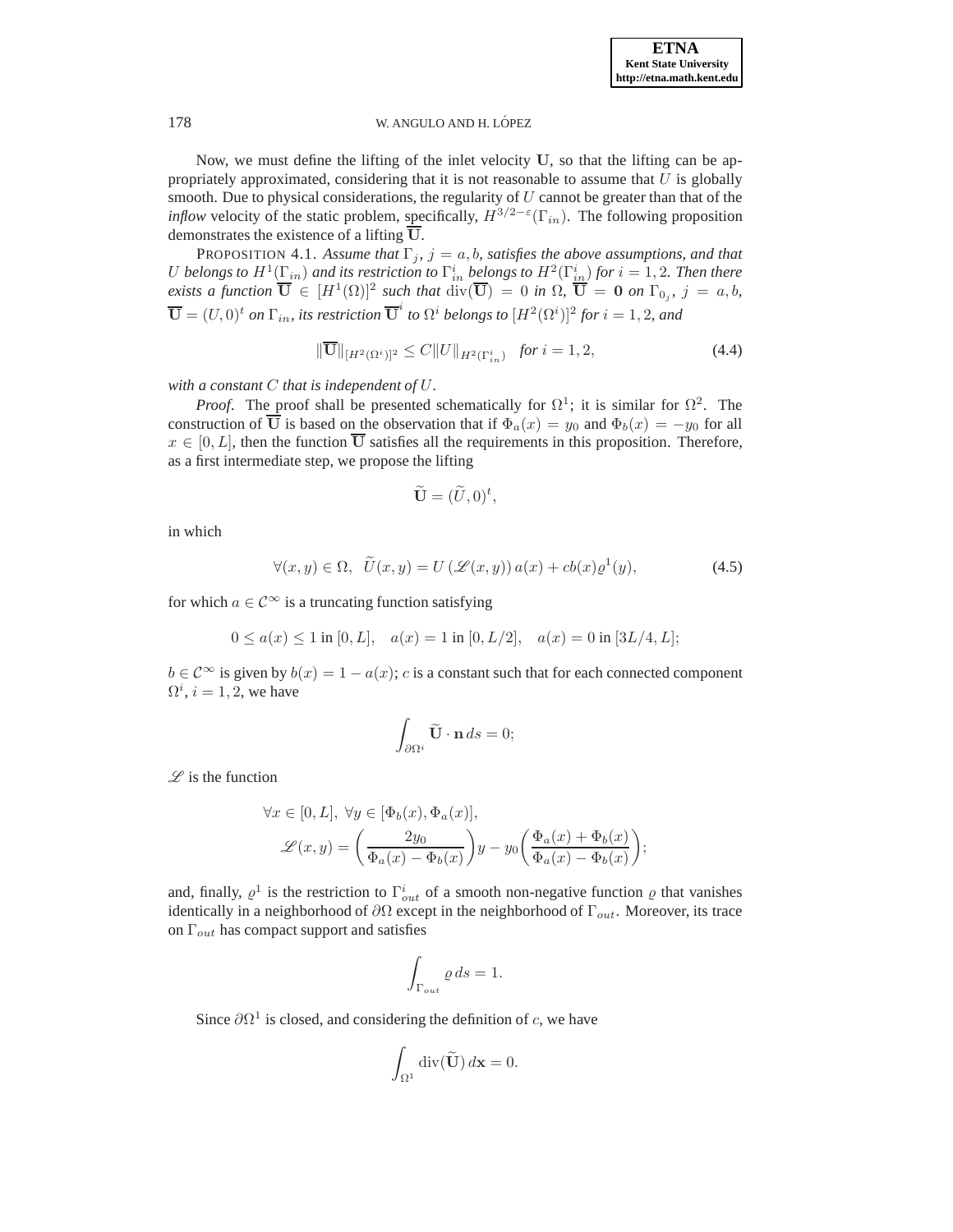Now, we must define the lifting of the inlet velocity U, so that the lifting can be appropriately approximated, considering that it is not reasonable to assume that  $U$  is globally smooth. Due to physical considerations, the regularity of  $U$  cannot be greater than that of the *inflow* velocity of the static problem, specifically,  $H^{3/2-\epsilon}(\Gamma_{in})$ . The following proposition demonstrates the existence of a lifting U.

<span id="page-8-0"></span>PROPOSITION 4.1. Assume that  $\Gamma_j$ ,  $j = a, b$ , satisfies the above assumptions, and that U belongs to  $H^1(\Gamma_{in})$  and its restriction to  $\Gamma_{in}^i$  belongs to  $H^2(\Gamma_{in}^i)$  for  $i=1,2.$  Then there *exists a function*  $\overline{\mathbf{U}} \in [H^1(\Omega)]^2$  such that  $\text{div}(\overline{\mathbf{U}}) = 0$  in  $\Omega$ ,  $\overline{\mathbf{U}} = \mathbf{0}$  on  $\Gamma_{0j}$ ,  $j = a, b$ ,  $\overline{\bf U} = (U,0)^t$  on  $\Gamma_{in}$ , its restriction  $\overline{\bf U}^i$  to  $\Omega^i$  belongs to  $[H^2(\Omega^i)]^2$  for  $i=1,2$ , and

$$
\|\overline{\mathbf{U}}\|_{[H^{2}(\Omega^{i})]^{2}} \leq C\|U\|_{H^{2}(\Gamma_{in}^{i})} \text{ for } i = 1, 2,
$$
\n(4.4)

*with a constant* C *that is independent of* U*.*

*Proof.* The proof shall be presented schematically for  $\Omega^1$ ; it is similar for  $\Omega^2$ . The construction of  $\overline{U}$  is based on the observation that if  $\Phi_a(x) = y_0$  and  $\Phi_b(x) = -y_0$  for all  $x \in [0, L]$ , then the function  $\overline{U}$  satisfies all the requirements in this proposition. Therefore, as a first intermediate step, we propose the lifting

$$
\widetilde{\mathbf{U}} = (\widetilde{U}, 0)^t,
$$

in which

$$
\forall (x, y) \in \Omega, \quad \widetilde{U}(x, y) = U\left(\mathcal{L}(x, y)\right) a(x) + cb(x)\varrho^{1}(y),\tag{4.5}
$$

for which  $a \in \mathcal{C}^{\infty}$  is a truncating function satisfying

$$
0\leq a(x)\leq 1 \text{ in }[0,L], \quad a(x)=1 \text{ in }[0,L/2], \quad a(x)=0 \text{ in }[3L/4,L];
$$

 $b \in \mathcal{C}^{\infty}$  is given by  $b(x) = 1 - a(x)$ ; c is a constant such that for each connected component  $\Omega^i$ ,  $i = 1, 2$ , we have

$$
\int_{\partial\Omega^i} \widetilde{\mathbf{U}}\cdot \mathbf{n} \, ds = 0;
$$

 $L$  is the function

$$
\forall x \in [0, L], \ \forall y \in [\Phi_b(x), \Phi_a(x)],
$$

$$
\mathcal{L}(x, y) = \left(\frac{2y_0}{\Phi_a(x) - \Phi_b(x)}\right) y - y_0 \left(\frac{\Phi_a(x) + \Phi_b(x)}{\Phi_a(x) - \Phi_b(x)}\right);
$$

and, finally,  $\rho^1$  is the restriction to  $\Gamma^i_{out}$  of a smooth non-negative function  $\rho$  that vanishes identically in a neighborhood of  $\partial\Omega$  except in the neighborhood of  $\Gamma_{out}$ . Moreover, its trace on  $\Gamma_{out}$  has compact support and satisfies

$$
\int_{\Gamma_{out}} \varrho \, ds = 1.
$$

Since  $\partial \Omega^1$  is closed, and considering the definition of c, we have

$$
\int_{\Omega^1} \operatorname{div}(\widetilde{\mathbf{U}}) d\mathbf{x} = 0.
$$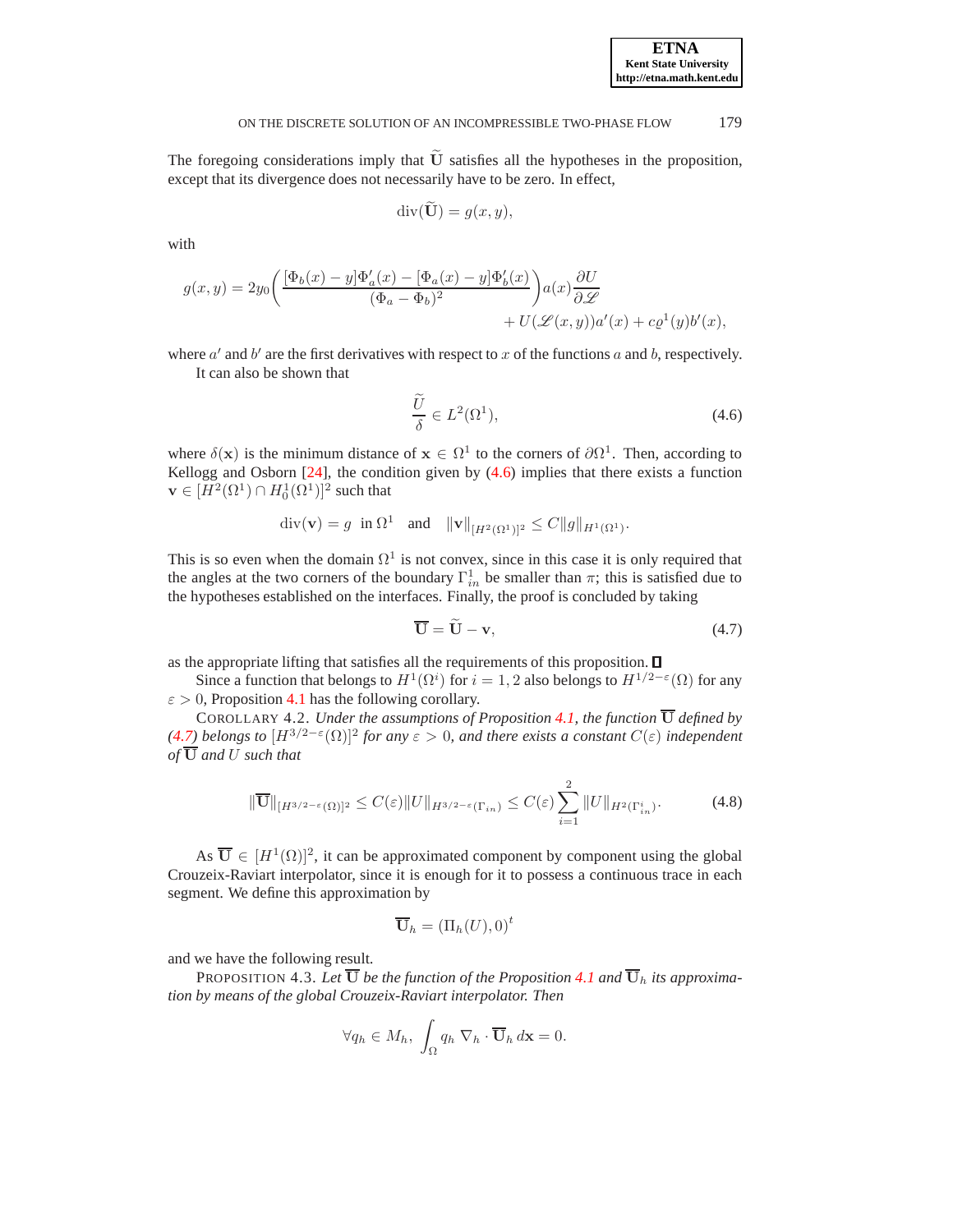The foregoing considerations imply that  $\bar{U}$  satisfies all the hypotheses in the proposition, except that its divergence does not necessarily have to be zero. In effect,

$$
\operatorname{div}(\widetilde{\mathbf{U}}) = g(x, y),
$$

with

$$
g(x,y) = 2y_0 \left( \frac{[\Phi_b(x) - y] \Phi_a'(x) - [\Phi_a(x) - y] \Phi_b'(x)}{(\Phi_a - \Phi_b)^2} \right) a(x) \frac{\partial U}{\partial \mathcal{L}} + U(\mathcal{L}(x,y)) a'(x) + c \varrho^1(y) b'(x),
$$

where  $a'$  and  $b'$  are the first derivatives with respect to x of the functions a and b, respectively. It can also be shown that

<span id="page-9-0"></span>
$$
\frac{\widetilde{U}}{\delta} \in L^2(\Omega^1),\tag{4.6}
$$

where  $\delta(\mathbf{x})$  is the minimum distance of  $\mathbf{x} \in \Omega^1$  to the corners of  $\partial \Omega^1$ . Then, according to Kellogg and Osborn  $[24]$ , the condition given by  $(4.6)$  implies that there exists a function  $\mathbf{v} \in [H^2(\Omega^1) \cap H_0^1(\Omega^1)]^2$  such that

$$
\mathrm{div}(\mathbf{v}) = g \ \text{ in } \Omega^1 \ \text{ and } \ \| \mathbf{v} \|_{[H^2(\Omega^1)]^2} \leq C \| g \|_{H^1(\Omega^1)}.
$$

This is so even when the domain  $\Omega^1$  is not convex, since in this case it is only required that the angles at the two corners of the boundary  $\Gamma_{in}^1$  be smaller than  $\pi$ ; this is satisfied due to the hypotheses established on the interfaces. Finally, the proof is concluded by taking

<span id="page-9-1"></span>
$$
\overline{\mathbf{U}} = \widetilde{\mathbf{U}} - \mathbf{v},\tag{4.7}
$$

as the appropriate lifting that satisfies all the requirements of this proposition.

Since a function that belongs to  $H^1(\Omega^i)$  for  $i = 1, 2$  also belongs to  $H^{1/2-\epsilon}(\Omega)$  for any  $\varepsilon > 0$ , Proposition [4.1](#page-8-0) has the following corollary.

COROLLARY 4.2. *Under the assumptions of Proposition [4.1,](#page-8-0)* the function  $\overline{U}$  *defined by [\(4.7\)](#page-9-1) belongs to*  $[H^{3/2-ε}(\Omega)]^2$  *for any*  $ε > 0$ *, and there exists a constant*  $C(ε)$  *independent of* U *and* U *such that*

$$
\|\overline{\mathbf{U}}\|_{[H^{3/2-\varepsilon}(\Omega)]^2} \le C(\varepsilon) \|U\|_{H^{3/2-\varepsilon}(\Gamma_{in})} \le C(\varepsilon) \sum_{i=1}^2 \|U\|_{H^2(\Gamma_{in}^i)}. \tag{4.8}
$$

As  $\overline{\mathbf{U}} \in [H^1(\Omega)]^2$ , it can be approximated component by component using the global Crouzeix-Raviart interpolator, since it is enough for it to possess a continuous trace in each segment. We define this approximation by

<span id="page-9-2"></span>
$$
\overline{\mathbf{U}}_h = \left(\Pi_h(U), 0\right)^t
$$

and we have the following result.

PROPOSITION 4.3. Let  $\overline{U}$  *be the function of the Proposition [4.1](#page-8-0) and*  $\overline{U}_h$  *its approximation by means of the global Crouzeix-Raviart interpolator. Then*

$$
\forall q_h \in M_h, \ \int_{\Omega} q_h \nabla_h \cdot \overline{\mathbf{U}}_h \, d\mathbf{x} = 0.
$$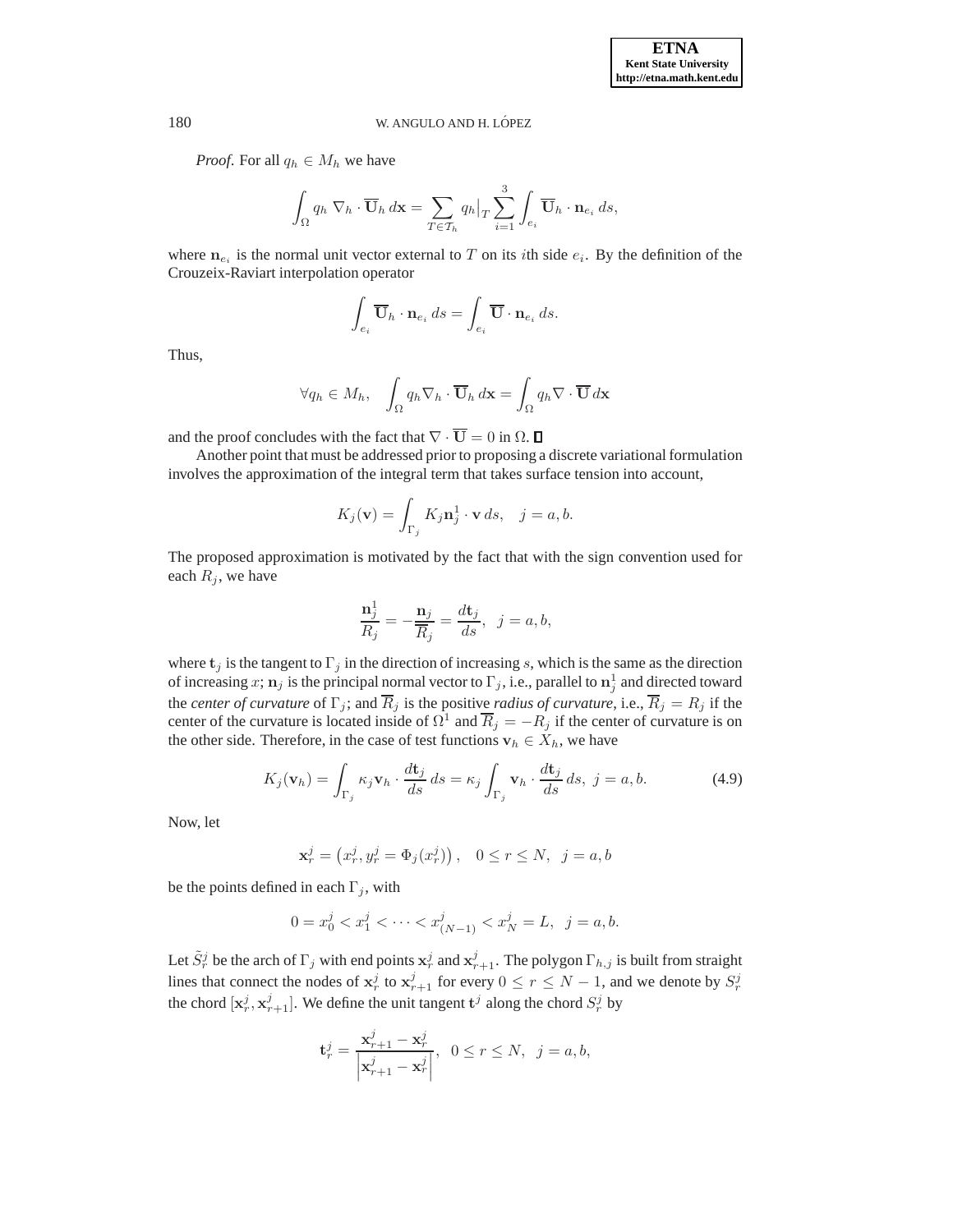*Proof.* For all  $q_h \in M_h$  we have

$$
\int_{\Omega} q_h \nabla_h \cdot \overline{\mathbf{U}}_h \, d\mathbf{x} = \sum_{T \in \mathcal{T}_h} q_h \big|_T \sum_{i=1}^3 \int_{e_i} \overline{\mathbf{U}}_h \cdot \mathbf{n}_{e_i} \, ds,
$$

where  $n_{e_i}$  is the normal unit vector external to T on its *i*th side  $e_i$ . By the definition of the Crouzeix-Raviart interpolation operator

$$
\int_{e_i} \overline{\mathbf{U}}_h \cdot \mathbf{n}_{e_i} \, ds = \int_{e_i} \overline{\mathbf{U}} \cdot \mathbf{n}_{e_i} \, ds.
$$

Thus,

$$
\forall q_h \in M_h, \quad \int_{\Omega} q_h \nabla_h \cdot \overline{\mathbf{U}}_h \, d\mathbf{x} = \int_{\Omega} q_h \nabla \cdot \overline{\mathbf{U}} \, d\mathbf{x}
$$

and the proof concludes with the fact that  $\nabla \cdot \overline{\mathbf{U}} = 0$  in  $\Omega$ .  $\Box$ 

Another point that must be addressed prior to proposing a discrete variational formulation involves the approximation of the integral term that takes surface tension into account,

$$
K_j(\mathbf{v}) = \int_{\Gamma_j} K_j \mathbf{n}_j^1 \cdot \mathbf{v} \, ds, \quad j = a, b.
$$

The proposed approximation is motivated by the fact that with the sign convention used for each  $R_j$ , we have

$$
\frac{\mathbf{n}_j^1}{R_j} = -\frac{\mathbf{n}_j}{\overline{R}_j} = \frac{d\mathbf{t}_j}{ds}, \ \ j = a, b,
$$

where  $t_j$  is the tangent to  $\Gamma_j$  in the direction of increasing s, which is the same as the direction of increasing  $x; \mathbf{n}_j$  is the principal normal vector to  $\Gamma_j$ , i.e., parallel to  $\mathbf{n}_j^1$  and directed toward the *center of curvature* of  $\Gamma_j$ ; and  $\overline{R}_j$  is the positive *radius of curvature*, i.e.,  $\overline{R}_j = R_j$  if the center of the curvature is located inside of  $\Omega^1$  and  $\overline{R}_j = -R_j$  if the center of curvature is on the other side. Therefore, in the case of test functions  $v_h \in X_h$ , we have

$$
K_j(\mathbf{v}_h) = \int_{\Gamma_j} \kappa_j \mathbf{v}_h \cdot \frac{d\mathbf{t}_j}{ds} ds = \kappa_j \int_{\Gamma_j} \mathbf{v}_h \cdot \frac{d\mathbf{t}_j}{ds} ds, \ j = a, b.
$$
 (4.9)

Now, let

$$
\mathbf{x}_r^j = (x_r^j, y_r^j = \Phi_j(x_r^j)), \quad 0 \le r \le N, \ \ j = a, b
$$

be the points defined in each  $\Gamma_i$ , with

$$
0 = x_0^j < x_1^j < \dots < x_{(N-1)}^j < x_N^j = L, \ \ j = a, b.
$$

Let  $\tilde{S}_r^j$  be the arch of  $\Gamma_j$  with end points  $x_r^j$  and  $x_{r+1}^j$ . The polygon  $\Gamma_{h,j}$  is built from straight lines that connect the nodes of  $x_r^j$  to  $x_{r+1}^j$  for every  $0 \le r \le N-1$ , and we denote by  $S_r^j$ the chord  $[\mathbf{x}_r^j, \mathbf{x}_{r+1}^j]$ . We define the unit tangent  $\mathbf{t}^j$  along the chord  $S_r^j$  by

$$
\mathbf{t}_r^j = \frac{\mathbf{x}_{r+1}^j - \mathbf{x}_r^j}{\left|\mathbf{x}_{r+1}^j - \mathbf{x}_r^j\right|}, \ \ 0 \le r \le N, \ \ j = a, b,
$$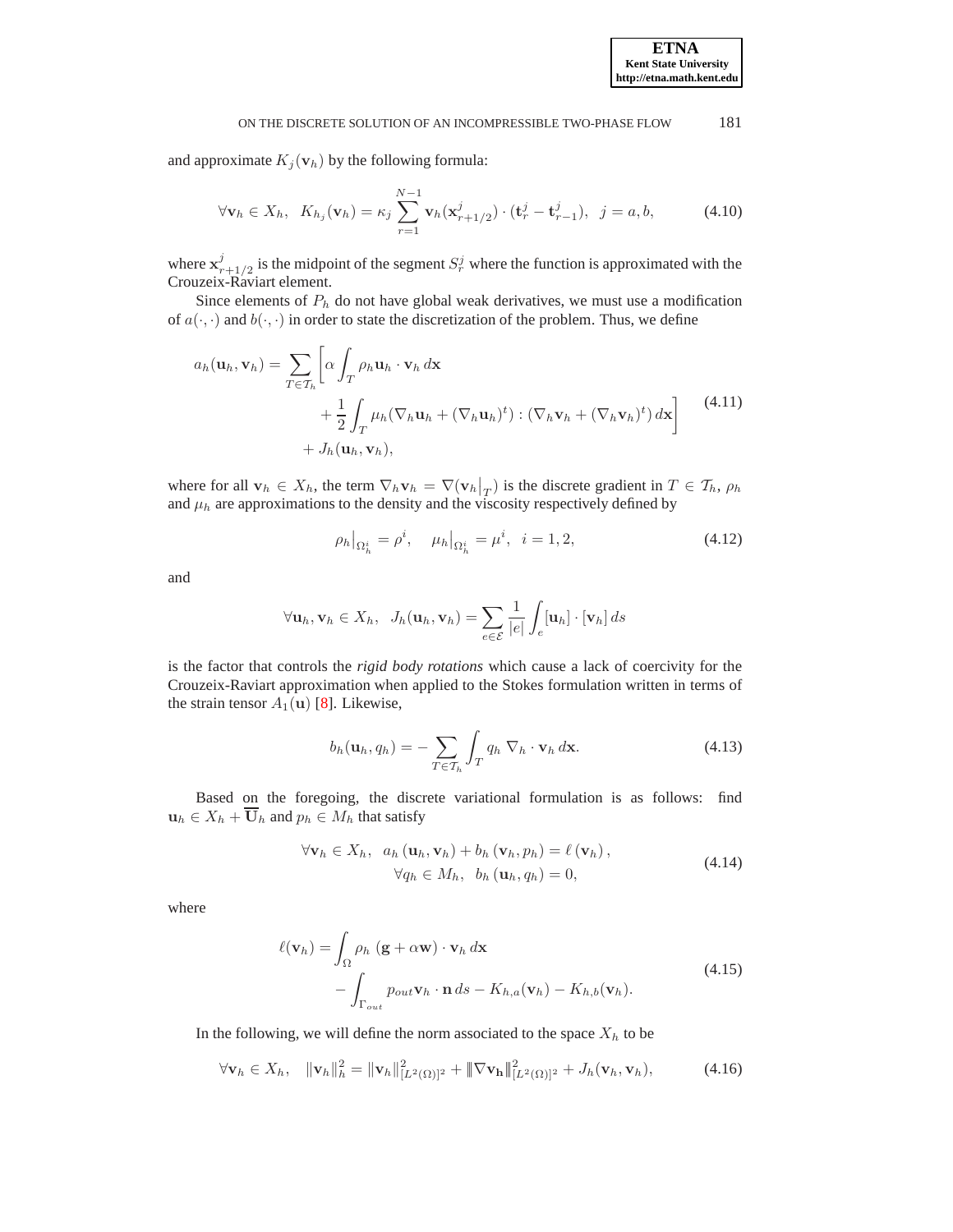and approximate  $K_j(\mathbf{v}_h)$  by the following formula:

$$
\forall \mathbf{v}_h \in X_h, \ K_{h_j}(\mathbf{v}_h) = \kappa_j \sum_{r=1}^{N-1} \mathbf{v}_h(\mathbf{x}_{r+1/2}^j) \cdot (\mathbf{t}_r^j - \mathbf{t}_{r-1}^j), \ j = a, b,
$$
 (4.10)

where  $\mathbf{x}_r^j$  $s_{r+1/2}^j$  is the midpoint of the segment  $S_r^j$  where the function is approximated with the Crouzeix-Raviart element.

Since elements of  $P_h$  do not have global weak derivatives, we must use a modification of  $a(\cdot, \cdot)$  and  $b(\cdot, \cdot)$  in order to state the discretization of the problem. Thus, we define

$$
a_h(\mathbf{u}_h, \mathbf{v}_h) = \sum_{T \in \mathcal{T}_h} \left[ \alpha \int_T \rho_h \mathbf{u}_h \cdot \mathbf{v}_h \, d\mathbf{x} \right. \\ \left. + \frac{1}{2} \int_T \mu_h (\nabla_h \mathbf{u}_h + (\nabla_h \mathbf{u}_h)^t) : (\nabla_h \mathbf{v}_h + (\nabla_h \mathbf{v}_h)^t) \, d\mathbf{x} \right] \tag{4.11}
$$
  
+  $J_h(\mathbf{u}_h, \mathbf{v}_h),$ 

where for all  $\mathbf{v}_h \in X_h$ , the term  $\nabla_h \mathbf{v}_h = \nabla(\mathbf{v}_h|_T)$  is the discrete gradient in  $T \in \mathcal{T}_h$ ,  $\rho_h$ and  $\mu_h$  are approximations to the density and the viscosity respectively defined by

$$
\rho_h|_{\Omega_h^i} = \rho^i, \quad \mu_h|_{\Omega_h^i} = \mu^i, \quad i = 1, 2,
$$
\n(4.12)

and

$$
\forall \mathbf{u}_h, \mathbf{v}_h \in X_h, J_h(\mathbf{u}_h, \mathbf{v}_h) = \sum_{e \in \mathcal{E}} \frac{1}{|e|} \int_e [\mathbf{u}_h] \cdot [\mathbf{v}_h] ds
$$

is the factor that controls the *rigid body rotations* which cause a lack of coercivity for the Crouzeix-Raviart approximation when applied to the Stokes formulation written in terms of the strain tensor  $A_1(\mathbf{u})$  [\[8\]](#page-15-16). Likewise,

$$
b_h(\mathbf{u}_h, q_h) = -\sum_{T \in \mathcal{T}_h} \int_T q_h \nabla_h \cdot \mathbf{v}_h \, d\mathbf{x}.
$$
 (4.13)

Based on the foregoing, the discrete variational formulation is as follows: find  $u_h \in X_h + \overline{U}_h$  and  $p_h \in M_h$  that satisfy

<span id="page-11-0"></span>
$$
\forall \mathbf{v}_h \in X_h, \quad a_h(\mathbf{u}_h, \mathbf{v}_h) + b_h(\mathbf{v}_h, p_h) = \ell(\mathbf{v}_h),
$$
  
\n
$$
\forall q_h \in M_h, \quad b_h(\mathbf{u}_h, q_h) = 0,
$$
\n(4.14)

where

$$
\ell(\mathbf{v}_h) = \int_{\Omega} \rho_h \left( \mathbf{g} + \alpha \mathbf{w} \right) \cdot \mathbf{v}_h \, d\mathbf{x} - \int_{\Gamma_{out}} p_{out} \mathbf{v}_h \cdot \mathbf{n} \, ds - K_{h,a}(\mathbf{v}_h) - K_{h,b}(\mathbf{v}_h).
$$
\n(4.15)

In the following, we will define the norm associated to the space  $X<sub>h</sub>$  to be

$$
\forall \mathbf{v}_h \in X_h, \quad \|\mathbf{v}_h\|_h^2 = \|\mathbf{v}_h\|_{[L^2(\Omega)]^2}^2 + \|\nabla \mathbf{v}_h\|_{[L^2(\Omega)]^2}^2 + J_h(\mathbf{v}_h, \mathbf{v}_h), \tag{4.16}
$$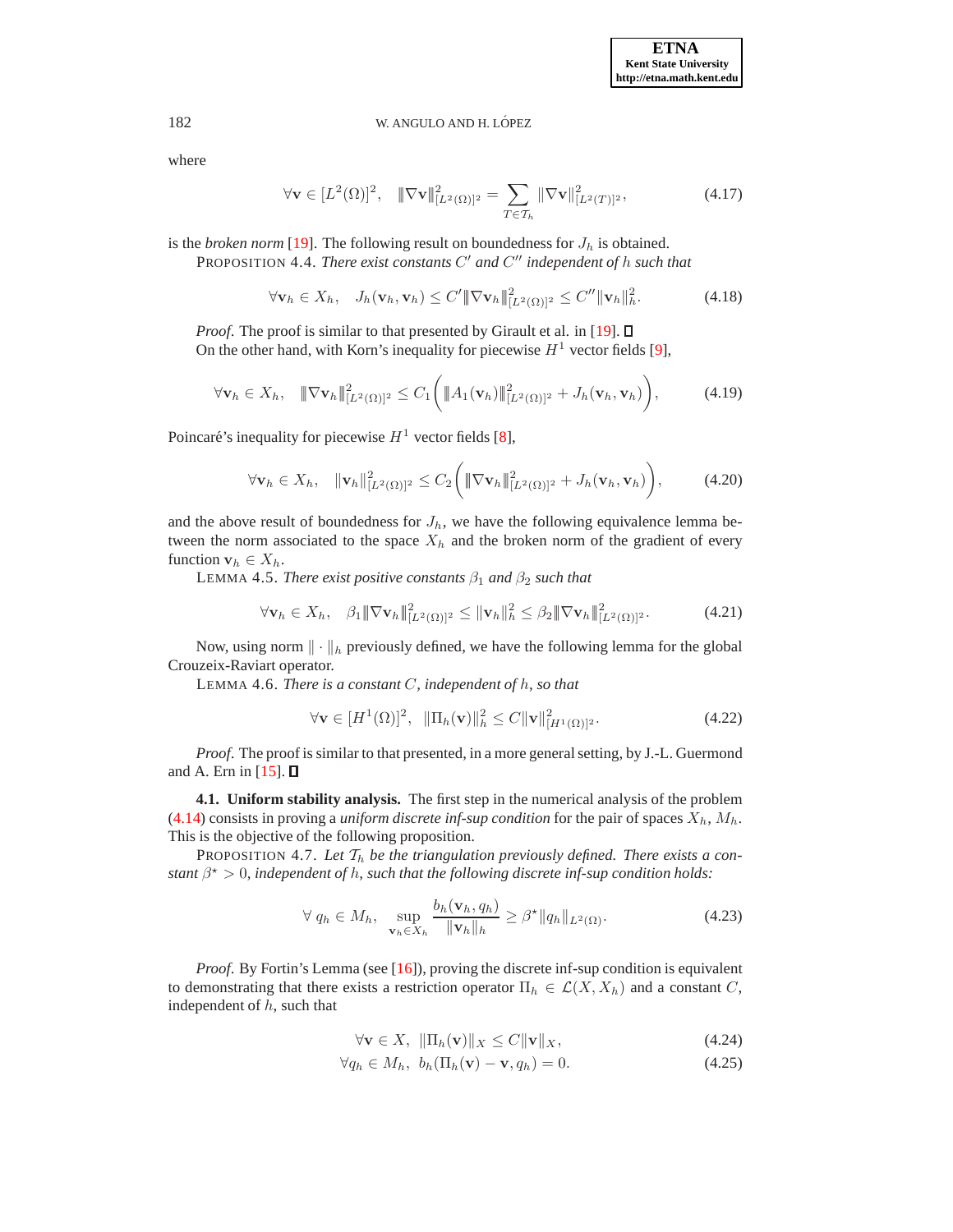where

$$
\forall \mathbf{v} \in [L^2(\Omega)]^2, \quad \|\nabla \mathbf{v}\|_{[L^2(\Omega)]^2}^2 = \sum_{T \in \mathcal{T}_h} \|\nabla \mathbf{v}\|_{[L^2(T)]^2}^2,
$$
\n(4.17)

is the *broken norm* [\[19](#page-15-17)]. The following result on boundedness for  $J_h$  is obtained.

PROPOSITION 4.4. *There exist constants* C' and C'' independent of h such that

$$
\forall \mathbf{v}_h \in X_h, \quad J_h(\mathbf{v}_h, \mathbf{v}_h) \le C' \|\nabla \mathbf{v}_h\|_{[L^2(\Omega)]^2}^2 \le C'' \|\mathbf{v}_h\|_h^2. \tag{4.18}
$$

*Proof.* The proof is similar to that presented by Girault et al. in [\[19\]](#page-15-17).  $\Box$ On the other hand, with Korn's inequality for piecewise  $H^1$  vector fields [\[9\]](#page-15-18),

<span id="page-12-4"></span>
$$
\forall \mathbf{v}_h \in X_h, \quad \|\nabla \mathbf{v}_h\|_{[L^2(\Omega)]^2}^2 \leq C_1 \bigg( \|A_1(\mathbf{v}_h)\|_{[L^2(\Omega)]^2}^2 + J_h(\mathbf{v}_h, \mathbf{v}_h) \bigg), \tag{4.19}
$$

Poincaré's inequality for piecewise  $H^1$  vector fields [\[8\]](#page-15-16),

$$
\forall \mathbf{v}_h \in X_h, \quad \|\mathbf{v}_h\|_{[L^2(\Omega)]^2}^2 \le C_2 \bigg( \|\nabla \mathbf{v}_h\|_{[L^2(\Omega)]^2}^2 + J_h(\mathbf{v}_h, \mathbf{v}_h) \bigg), \tag{4.20}
$$

and the above result of boundedness for  $J<sub>h</sub>$ , we have the following equivalence lemma between the norm associated to the space  $X_h$  and the broken norm of the gradient of every function  $\mathbf{v}_h \in X_h$ .

LEMMA 4.5. *There exist positive constants*  $\beta_1$  *and*  $\beta_2$  *such that* 

<span id="page-12-5"></span>
$$
\forall \mathbf{v}_h \in X_h, \quad \beta_1 \|\nabla \mathbf{v}_h\|_{[L^2(\Omega)]^2}^2 \leq \|\mathbf{v}_h\|_h^2 \leq \beta_2 \|\nabla \mathbf{v}_h\|_{[L^2(\Omega)]^2}^2. \tag{4.21}
$$

Now, using norm  $\|\cdot\|_h$  previously defined, we have the following lemma for the global Crouzeix-Raviart operator.

LEMMA 4.6. *There is a constant* C*, independent of* h*, so that*

<span id="page-12-2"></span>
$$
\forall \mathbf{v} \in [H^1(\Omega)]^2, \ \ \|\Pi_h(\mathbf{v})\|_h^2 \le C \|\mathbf{v}\|_{[H^1(\Omega)]^2}^2.
$$
 (4.22)

*Proof*. The proof is similar to that presented, in a more general setting, by J.-L. Guermond and A. Ern in [\[15\]](#page-15-19).  $\Box$ 

**4.1. Uniform stability analysis.** The first step in the numerical analysis of the problem [\(4.14\)](#page-11-0) consists in proving a *uniform discrete inf-sup condition* for the pair of spaces  $X_h$ ,  $M_h$ . This is the objective of the following proposition.

<span id="page-12-3"></span>PROPOSITION 4.7. Let  $T_h$  be the triangulation previously defined. There exists a con*stant*  $\beta^* > 0$ , independent of h, such that the following discrete inf-sup condition holds:

$$
\forall q_h \in M_h, \quad \sup_{\mathbf{v}_h \in X_h} \frac{b_h(\mathbf{v}_h, q_h)}{\|\mathbf{v}_h\|_h} \ge \beta^* \|q_h\|_{L^2(\Omega)}.
$$
 (4.23)

*Proof.* By Fortin's Lemma (see [\[16\]](#page-15-20)), proving the discrete inf-sup condition is equivalent to demonstrating that there exists a restriction operator  $\Pi_h \in \mathcal{L}(X, X_h)$  and a constant C, independent of  $h$ , such that

<span id="page-12-1"></span><span id="page-12-0"></span>
$$
\forall \mathbf{v} \in X, \ \|\Pi_h(\mathbf{v})\|_X \le C \|\mathbf{v}\|_X,\tag{4.24}
$$

$$
\forall q_h \in M_h, \ b_h(\Pi_h(\mathbf{v}) - \mathbf{v}, q_h) = 0. \tag{4.25}
$$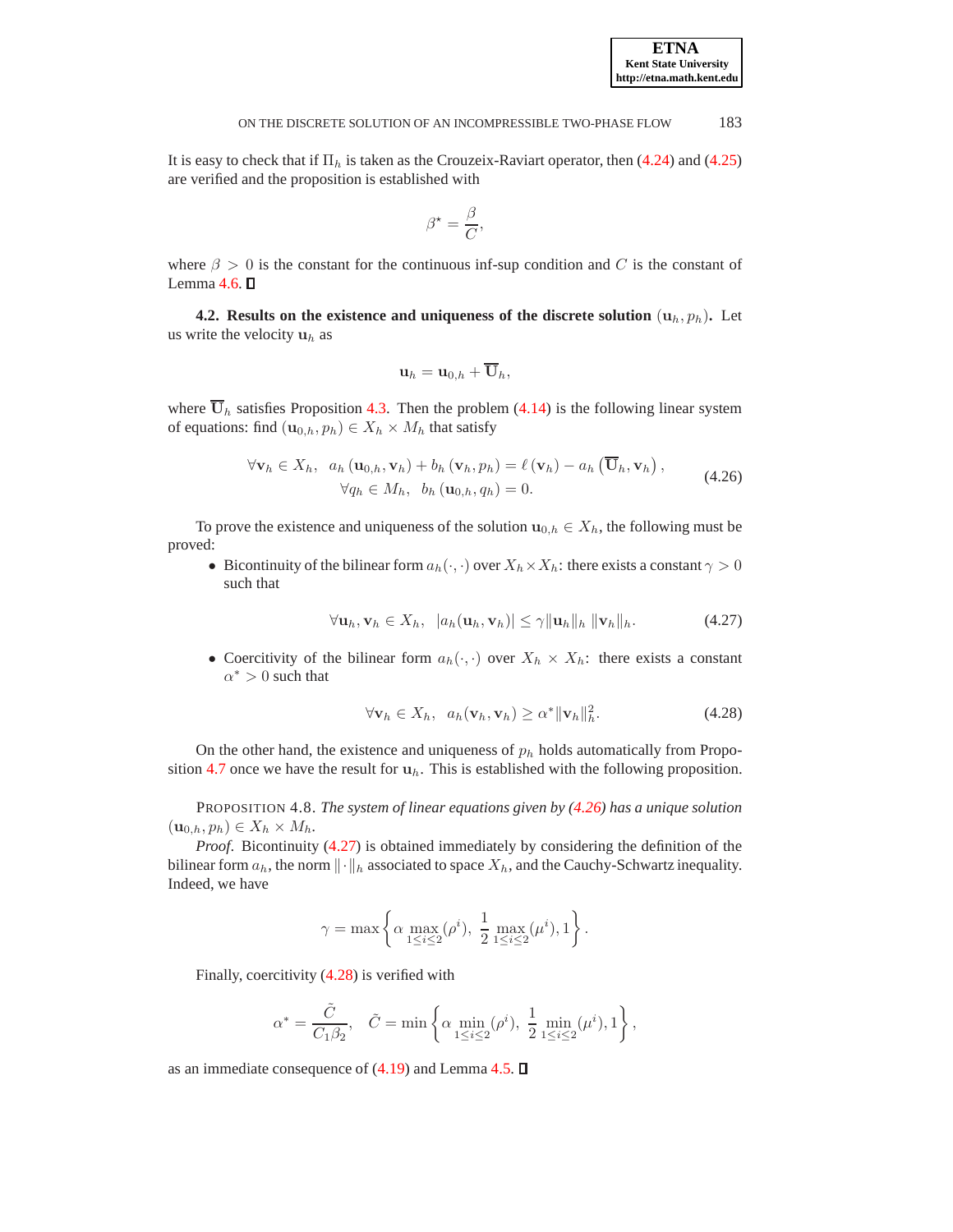It is easy to check that if  $\Pi_h$  is taken as the Crouzeix-Raviart operator, then [\(4.24\)](#page-12-0) and [\(4.25\)](#page-12-1) are verified and the proposition is established with

$$
\beta^* = \frac{\beta}{C},
$$

where  $\beta > 0$  is the constant for the continuous inf-sup condition and C is the constant of Lemma  $4.6.$   $\square$ 

**4.2. Results on the existence and uniqueness of the discrete solution**  $(u_h, p_h)$ **.** Let us write the velocity  $\mathbf{u}_h$  as

$$
\mathbf{u}_{h}=\mathbf{u}_{0,h}+\overline{\mathbf{U}}_{h},
$$

where  $\overline{U}_h$  satisfies Proposition [4.3.](#page-9-2) Then the problem [\(4.14\)](#page-11-0) is the following linear system of equations: find  $(\mathbf{u}_{0,h}, p_h) \in X_h \times M_h$  that satisfy

<span id="page-13-0"></span>
$$
\forall \mathbf{v}_h \in X_h, \quad a_h(\mathbf{u}_{0,h}, \mathbf{v}_h) + b_h(\mathbf{v}_h, p_h) = \ell(\mathbf{v}_h) - a_h(\overline{\mathbf{U}}_h, \mathbf{v}_h),
$$
  
\n
$$
\forall q_h \in M_h, \quad b_h(\mathbf{u}_{0,h}, q_h) = 0.
$$
\n(4.26)

To prove the existence and uniqueness of the solution  $\mathbf{u}_{0,h} \in X_h$ , the following must be proved:

• Bicontinuity of the bilinear form  $a_h(\cdot, \cdot)$  over  $X_h \times X_h$ : there exists a constant  $\gamma > 0$ such that

<span id="page-13-1"></span>
$$
\forall \mathbf{u}_h, \mathbf{v}_h \in X_h, \ |a_h(\mathbf{u}_h, \mathbf{v}_h)| \leq \gamma \|\mathbf{u}_h\|_h \|\mathbf{v}_h\|_h. \tag{4.27}
$$

• Coercitivity of the bilinear form  $a_h(\cdot, \cdot)$  over  $X_h \times X_h$ : there exists a constant  $\alpha^* > 0$  such that

<span id="page-13-2"></span>
$$
\forall \mathbf{v}_h \in X_h, \ \ a_h(\mathbf{v}_h, \mathbf{v}_h) \ge \alpha^* \|\mathbf{v}_h\|_h^2. \tag{4.28}
$$

On the other hand, the existence and uniqueness of  $p_h$  holds automatically from Propo-sition [4.7](#page-12-3) once we have the result for  $\mathbf{u}_h$ . This is established with the following proposition.

PROPOSITION 4.8. *The system of linear equations given by [\(4.26\)](#page-13-0) has a unique solution*  $(\mathbf{u}_{0,h}, p_h) \in X_h \times M_h$ .

*Proof*. Bicontinuity [\(4.27\)](#page-13-1) is obtained immediately by considering the definition of the bilinear form  $a_h$ , the norm  $\lVert \cdot \rVert_h$  associated to space  $X_h$ , and the Cauchy-Schwartz inequality. Indeed, we have

$$
\gamma = \max\left\{\alpha \max_{1 \leq i \leq 2}(\rho^i),\; \frac{1}{2}\max_{1 \leq i \leq 2}(\mu^i),1\right\}.
$$

Finally, coercitivity [\(4.28\)](#page-13-2) is verified with

$$
\alpha^*=\frac{\tilde{C}}{C_1\beta_2},\quad \tilde{C}=\min\left\{\alpha\min_{1\leq i\leq 2}(\rho^i),\ \frac{1}{2}\min_{1\leq i\leq 2}(\mu^i),1\right\},
$$

as an immediate consequence of  $(4.19)$  and Lemma [4.5.](#page-12-5)  $\Box$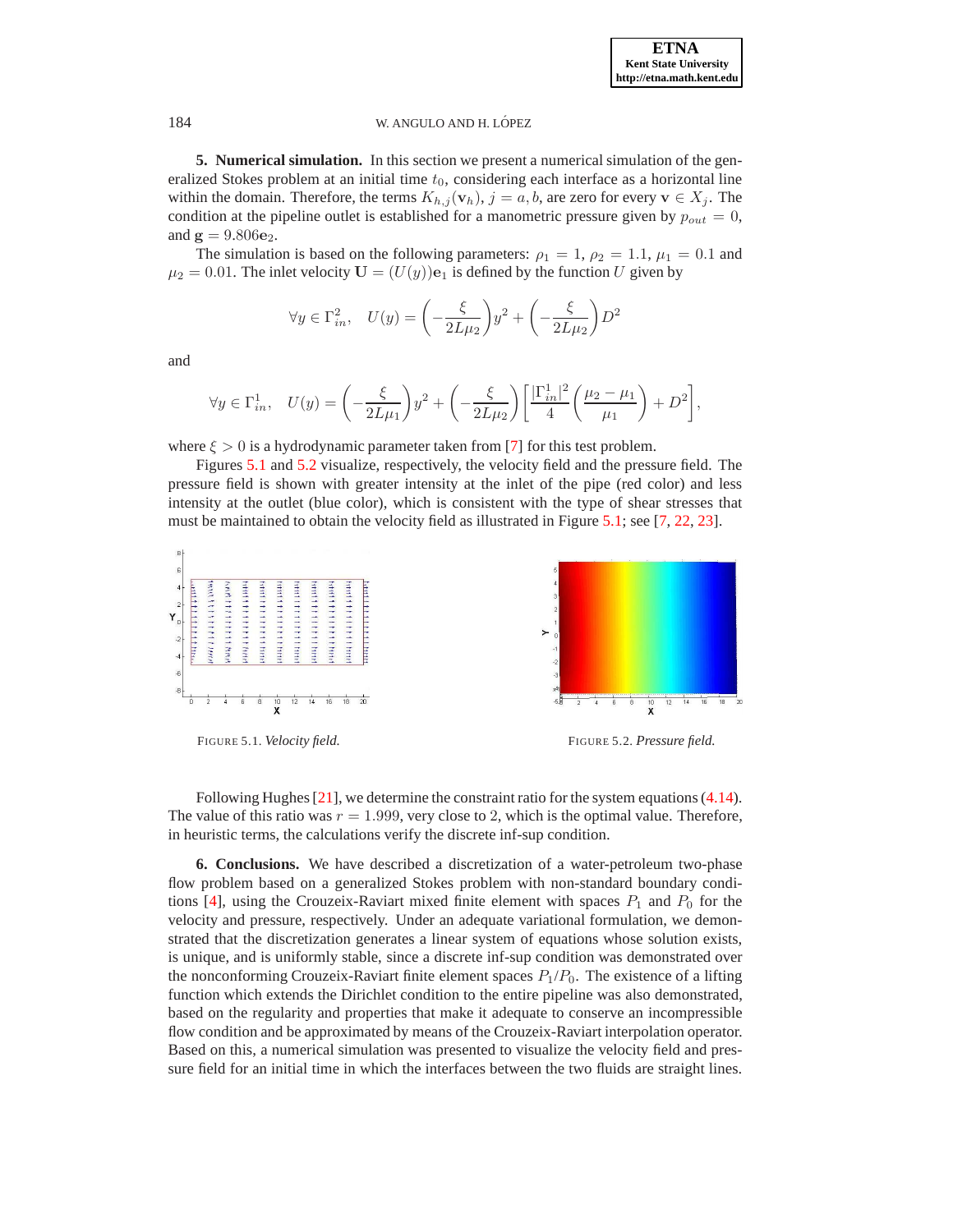<span id="page-14-0"></span>**5. Numerical simulation.** In this section we present a numerical simulation of the generalized Stokes problem at an initial time  $t_0$ , considering each interface as a horizontal line within the domain. Therefore, the terms  $K_{h,j}(\mathbf{v}_h)$ ,  $j = a, b$ , are zero for every  $\mathbf{v} \in X_j$ . The condition at the pipeline outlet is established for a manometric pressure given by  $p_{out} = 0$ , and  $g = 9.806e_2$ .

The simulation is based on the following parameters:  $\rho_1 = 1$ ,  $\rho_2 = 1.1$ ,  $\mu_1 = 0.1$  and  $\mu_2 = 0.01$ . The inlet velocity  $\mathbf{U} = (U(y))\mathbf{e}_1$  is defined by the function U given by

$$
\forall y\in\Gamma_{in}^2,\quad U(y)=\biggl(-\frac{\xi}{2L\mu_2}\biggr)y^2+\biggl(-\frac{\xi}{2L\mu_2}\biggr)D^2
$$

and

$$
\forall y \in \Gamma_{in}^1, \quad U(y) = \left(-\frac{\xi}{2L\mu_1}\right)y^2 + \left(-\frac{\xi}{2L\mu_2}\right)\left[\frac{|\Gamma_{in}^1|^2}{4}\left(\frac{\mu_2 - \mu_1}{\mu_1}\right) + D^2\right],
$$

where  $\xi > 0$  is a hydrodynamic parameter taken from [\[7\]](#page-15-1) for this test problem.

Figures [5.1](#page-14-1) and [5.2](#page-14-2) visualize, respectively, the velocity field and the pressure field. The pressure field is shown with greater intensity at the inlet of the pipe (red color) and less intensity at the outlet (blue color), which is consistent with the type of shear stresses that must be maintained to obtain the velocity field as illustrated in Figure [5.1;](#page-14-1) see [\[7,](#page-15-1) [22,](#page-15-0) [23\]](#page-16-0).



<span id="page-14-1"></span>

<span id="page-14-2"></span>

Following Hughes [\[21](#page-15-21)], we determine the constraint ratio for the system equations [\(4.14\)](#page-11-0). The value of this ratio was  $r = 1.999$ , very close to 2, which is the optimal value. Therefore, in heuristic terms, the calculations verify the discrete inf-sup condition.

**6. Conclusions.** We have described a discretization of a water-petroleum two-phase flow problem based on a generalized Stokes problem with non-standard boundary condi-tions [\[4](#page-15-3)], using the Crouzeix-Raviart mixed finite element with spaces  $P_1$  and  $P_0$  for the velocity and pressure, respectively. Under an adequate variational formulation, we demonstrated that the discretization generates a linear system of equations whose solution exists, is unique, and is uniformly stable, since a discrete inf-sup condition was demonstrated over the nonconforming Crouzeix-Raviart finite element spaces  $P_1/P_0$ . The existence of a lifting function which extends the Dirichlet condition to the entire pipeline was also demonstrated, based on the regularity and properties that make it adequate to conserve an incompressible flow condition and be approximated by means of the Crouzeix-Raviart interpolation operator. Based on this, a numerical simulation was presented to visualize the velocity field and pressure field for an initial time in which the interfaces between the two fluids are straight lines.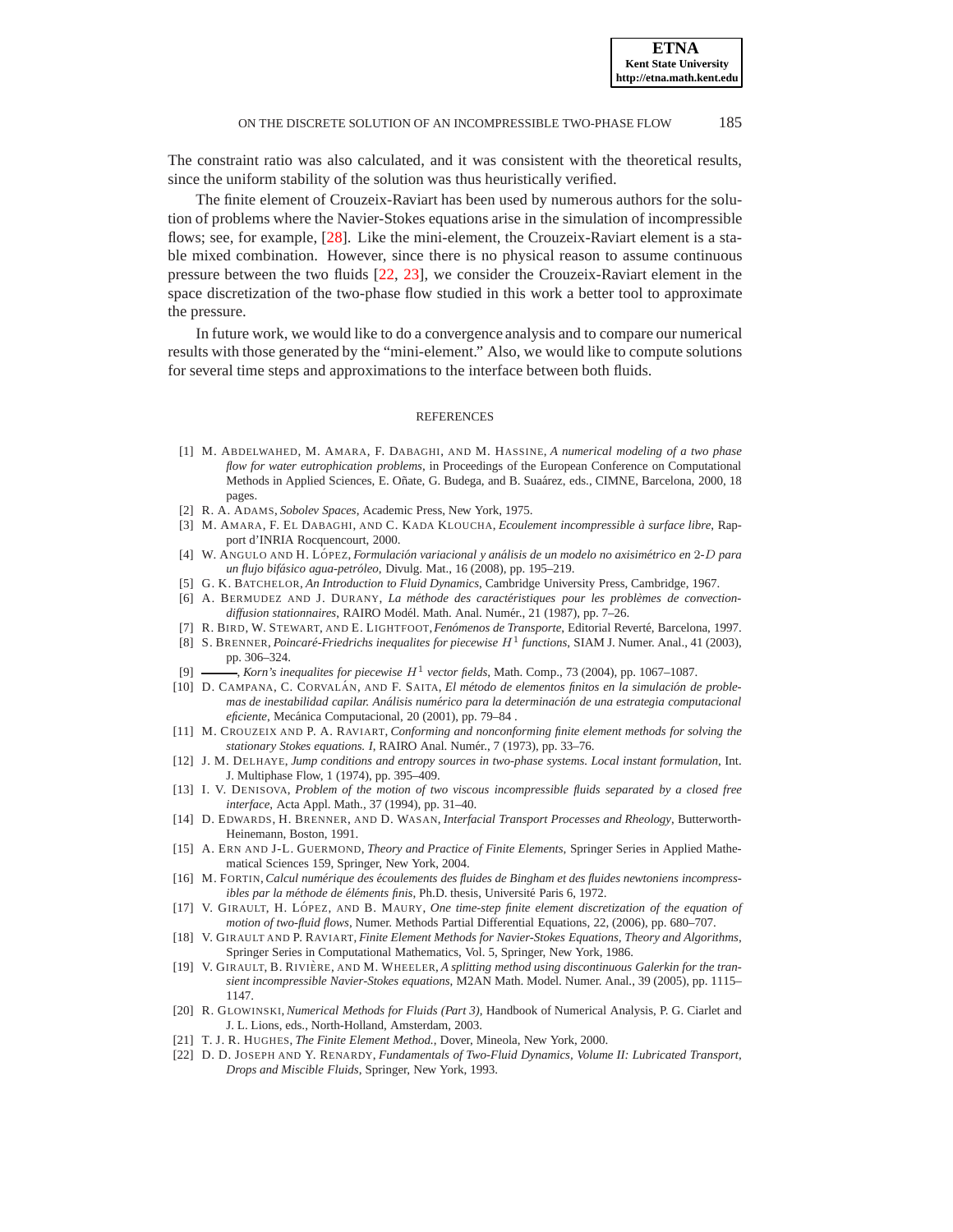The constraint ratio was also calculated, and it was consistent with the theoretical results, since the uniform stability of the solution was thus heuristically verified.

The finite element of Crouzeix-Raviart has been used by numerous authors for the solution of problems where the Navier-Stokes equations arise in the simulation of incompressible flows; see, for example, [\[28\]](#page-16-6). Like the mini-element, the Crouzeix-Raviart element is a stable mixed combination. However, since there is no physical reason to assume continuous pressure between the two fluids [\[22,](#page-15-0) [23\]](#page-16-0), we consider the Crouzeix-Raviart element in the space discretization of the two-phase flow studied in this work a better tool to approximate the pressure.

In future work, we would like to do a convergence analysis and to compare our numerical results with those generated by the "mini-element." Also, we would like to compute solutions for several time steps and approximations to the interface between both fluids.

#### **REFERENCES**

- <span id="page-15-10"></span>[1] M. ABDELWAHED, M. AMARA, F. DABAGHI, AND M. HASSINE, *A numerical modeling of a two phase flow for water eutrophication problems*, in Proceedings of the European Conference on Computational Methods in Applied Sciences, E. Oñate, G. Budega, and B. Suaárez, eds., CIMNE, Barcelona, 2000, 18 pages.
- <span id="page-15-4"></span>[2] R. A. ADAMS, *Sobolev Spaces*, Academic Press, New York, 1975.
- <span id="page-15-11"></span>[3] M. AMARA, F. EL DABAGHI, AND C. KADA KLOUCHA, *Ecoulement incompressible `a surface libre*, Rapport d'INRIA Rocquencourt, 2000.
- <span id="page-15-3"></span>[4] W. ANGULO AND H. LOPEZ ´ , *Formulaci´on variacional y an´alisis de un modelo no axisim´etrico en* 2*-*D *para un flujo bif´asico agua-petr´oleo*, Divulg. Mat., 16 (2008), pp. 195–219.
- <span id="page-15-6"></span>[5] G. K. BATCHELOR, *An Introduction to Fluid Dynamics*, Cambridge University Press, Cambridge, 1967.
- <span id="page-15-12"></span>[6] A. BERMUDEZ AND J. DURANY, *La méthode des caractéristiques pour les problèmes de convection*diffusion stationnaires, RAIRO Modél. Math. Anal. Numér., 21 (1987), pp. 7-26.
- <span id="page-15-1"></span>[7] R. BIRD, W. STEWART, AND E. LIGHTFOOT,*Fen´omenos de Transporte*, Editorial Revert´e, Barcelona, 1997.
- <span id="page-15-16"></span><sup>1</sup> S. BRENNER, *Poincaré-Friedrichs inequalites for piecewise*  $H^1$  functions, SIAM J. Numer. Anal., 41 (2003), pp. 306–324.
- <span id="page-15-18"></span>[9]  $\frac{1}{\sqrt{2}}$ , *Korn's inequalites for piecewise*  $H^1$  vector fields, Math. Comp., 73 (2004), pp. 1067–1087.
- <span id="page-15-9"></span>[10] D. CAMPANA, C. CORVALÁN, AND F. SAITA, *El método de elementos finitos en la simulación de problemas de inestabilidad capilar. An´alisis num´erico para la determinaci´on de una estrategia computacional eficiente*, Mec´anica Computacional, 20 (2001), pp. 79–84 .
- <span id="page-15-15"></span>[11] M. CROUZEIX AND P. A. RAVIART, *Conforming and nonconforming finite element methods for solving the* stationary Stokes equations. I, RAIRO Anal. Numér., 7 (1973), pp. 33-76.
- <span id="page-15-7"></span>[12] J. M. DELHAYE, *Jump conditions and entropy sources in two-phase systems. Local instant formulation*, Int. J. Multiphase Flow, 1 (1974), pp. 395–409.
- <span id="page-15-8"></span>[13] I. V. DENISOVA, *Problem of the motion of two viscous incompressible fluids separated by a closed free interface*, Acta Appl. Math., 37 (1994), pp. 31–40.
- <span id="page-15-5"></span>[14] D. EDWARDS, H. BRENNER, AND D. WASAN, *Interfacial Transport Processes and Rheology*, Butterworth-Heinemann, Boston, 1991.
- <span id="page-15-19"></span>[15] A. ERN AND J-L. GUERMOND, *Theory and Practice of Finite Elements*, Springer Series in Applied Mathematical Sciences 159, Springer, New York, 2004.
- <span id="page-15-20"></span>[16] M. FORTIN, *Calcul num´erique des ´ecoulements des fluides de Bingham et des fluides newtoniens incompressibles par la méthode de éléments finis*, Ph.D. thesis, Université Paris 6, 1972.
- <span id="page-15-2"></span>[17] V. GIRAULT, H. LÓPEZ, AND B. MAURY, *One time-step finite element discretization of the equation of motion of two-fluid flows*, Numer. Methods Partial Differential Equations, 22, (2006), pp. 680–707.
- <span id="page-15-13"></span>[18] V. GIRAULT AND P. RAVIART, *Finite Element Methods for Navier-Stokes Equations, Theory and Algorithms*, Springer Series in Computational Mathematics, Vol. 5, Springer, New York, 1986.
- <span id="page-15-17"></span>[19] V. GIRAULT, B. RIVIÈRE, AND M. WHEELER, *A splitting method using discontinuous Galerkin for the transient incompressible Navier-Stokes equations*, M2AN Math. Model. Numer. Anal., 39 (2005), pp. 1115– 1147.
- <span id="page-15-14"></span>[20] R. GLOWINSKI, *Numerical Methods for Fluids (Part 3)*, Handbook of Numerical Analysis, P. G. Ciarlet and J. L. Lions, eds., North-Holland, Amsterdam, 2003.
- <span id="page-15-21"></span>[21] T. J. R. HUGHES, *The Finite Element Method.*, Dover, Mineola, New York, 2000.
- <span id="page-15-0"></span>[22] D. D. JOSEPH AND Y. RENARDY, *Fundamentals of Two-Fluid Dynamics, Volume II: Lubricated Transport, Drops and Miscible Fluids*, Springer, New York, 1993.